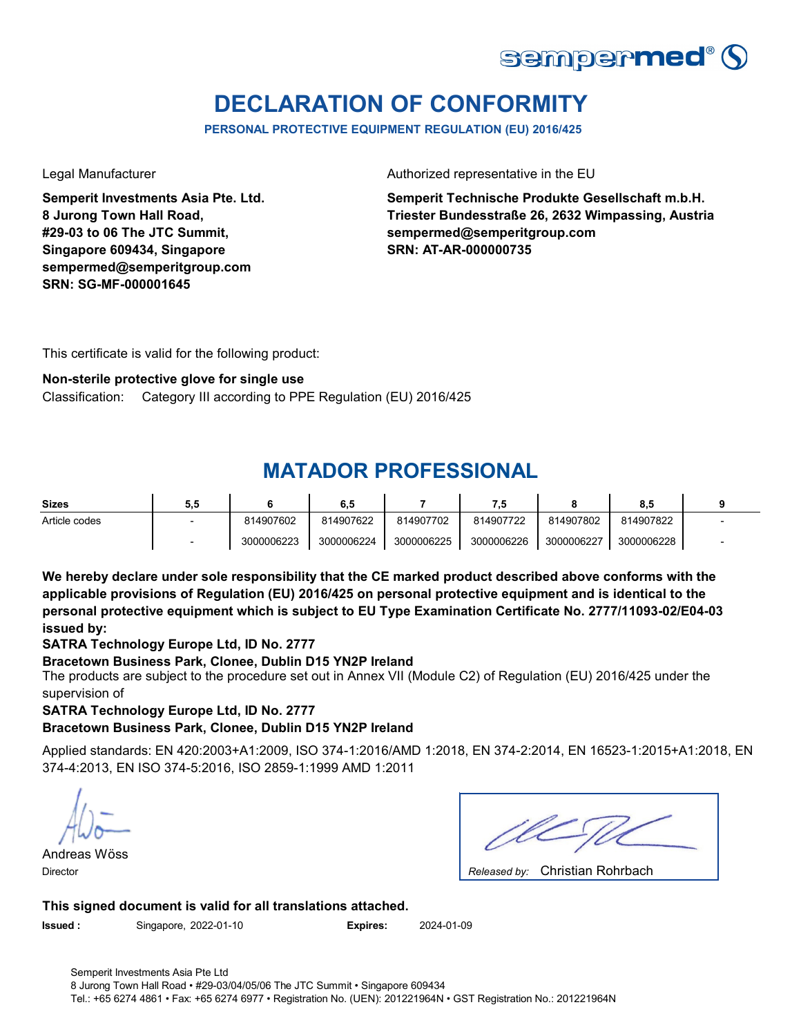

# **DECLARATION OF CONFORMITY**

**PERSONAL PROTECTIVE EQUIPMENT REGULATION (EU) 2016/425**

**Semperit Investments Asia Pte. Ltd. 8 Jurong Town Hall Road, #29-03 to 06 The JTC Summit, Singapore 609434, Singapore sempermed@semperitgroup.com SRN: SG-MF-000001645**

Legal Manufacturer **Authorized representative in the EU** 

**Semperit Technische Produkte Gesellschaft m.b.H. Triester Bundesstraße 26, 2632 Wimpassing, Austria sempermed@semperitgroup.com SRN: AT-AR-000000735**

This certificate is valid for the following product:

#### **Non-sterile protective glove for single use**

Category III according to PPE Regulation (EU) 2016/425 Classification:

## **MATADOR PROFESSIONAL**

| <b>Sizes</b>  | 5,5 |            | 6,5        |            |            |            | o.a        |  |
|---------------|-----|------------|------------|------------|------------|------------|------------|--|
| Article codes |     | 814907602  | 814907622  | 814907702  | 814907722  | 814907802  | 814907822  |  |
|               |     | 3000006223 | 3000006224 | 3000006225 | 3000006226 | 3000006227 | 3000006228 |  |

**We hereby declare under sole responsibility that the CE marked product described above conforms with the applicable provisions of Regulation (EU) 2016/425 on personal protective equipment and is identical to the personal protective equipment which is subject to EU Type Examination Certificate No. 2777/11093-02/E04-03 issued by:**

**SATRA Technology Europe Ltd, ID No. 2777**

#### **Bracetown Business Park, Clonee, Dublin D15 YN2P Ireland**

The products are subject to the procedure set out in Annex VII (Module C2) of Regulation (EU) 2016/425 under the supervision of

**SATRA Technology Europe Ltd, ID No. 2777**

#### **Bracetown Business Park, Clonee, Dublin D15 YN2P Ireland**

Applied standards: EN 420:2003+A1:2009, ISO 374-1:2016/AMD 1:2018, EN 374-2:2014, EN 16523-1:2015+A1:2018, EN 374-4:2013, EN ISO 374-5:2016, ISO 2859-1:1999 AMD 1:2011

Andreas Wöss Director *Released by:* 

| Released by: Christian Rohrbach |
|---------------------------------|

**This signed document is valid for all translations attached.**

**Issued :** Singapore, 2022-01-10 **Expires:** 2024-01-09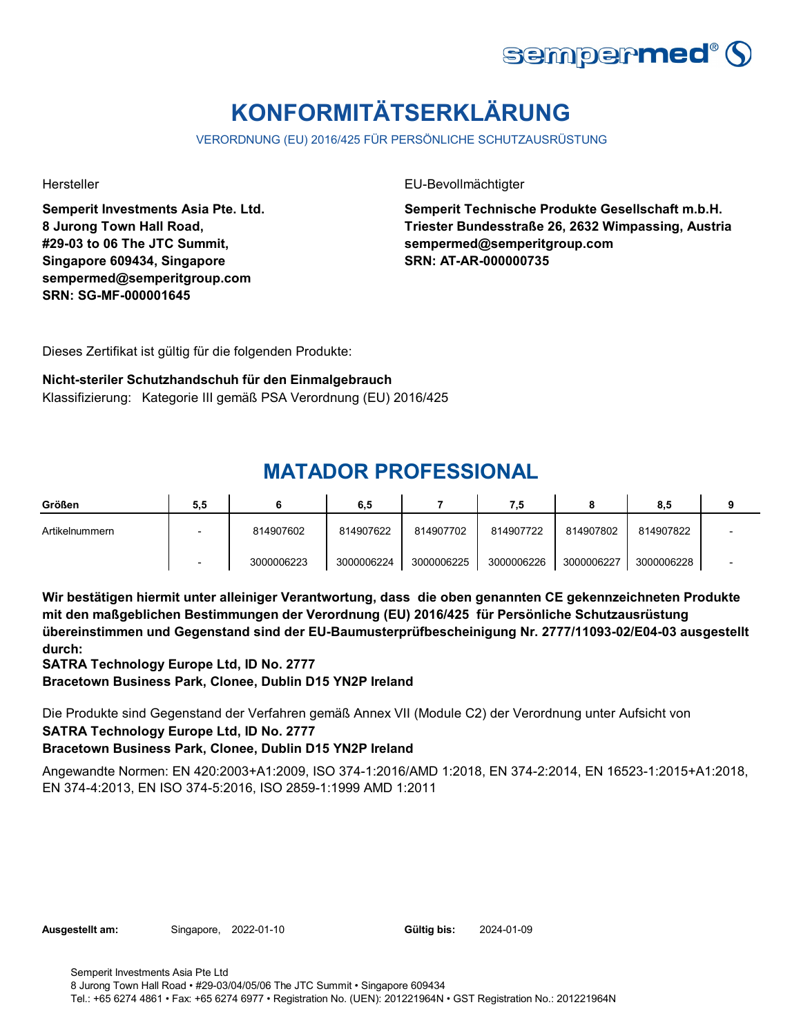

# **KONFORMITÄTSERKLÄRUNG**

VERORDNUNG (EU) 2016/425 FÜR PERSÖNLICHE SCHUTZAUSRÜSTUNG

**Semperit Investments Asia Pte. Ltd. 8 Jurong Town Hall Road, #29-03 to 06 The JTC Summit, Singapore 609434, Singapore sempermed@semperitgroup.com SRN: SG-MF-000001645**

Hersteller EU-Bevollmächtigter

**Semperit Technische Produkte Gesellschaft m.b.H. Triester Bundesstraße 26, 2632 Wimpassing, Austria sempermed@semperitgroup.com SRN: AT-AR-000000735**

Dieses Zertifikat ist gültig für die folgenden Produkte:

**Nicht-steriler Schutzhandschuh für den Einmalgebrauch** Klassifizierung: Kategorie III gemäß PSA Verordnung (EU) 2016/425

## **MATADOR PROFESSIONAL**

| Größen         | 5,5 |            | 6,5        |            | 7,5        |            | 8.5        |  |
|----------------|-----|------------|------------|------------|------------|------------|------------|--|
| Artikelnummern |     | 814907602  | 814907622  | 814907702  | 814907722  | 814907802  | 814907822  |  |
|                |     | 3000006223 | 3000006224 | 3000006225 | 3000006226 | 3000006227 | 3000006228 |  |

**Wir bestätigen hiermit unter alleiniger Verantwortung, dass die oben genannten CE gekennzeichneten Produkte mit den maßgeblichen Bestimmungen der Verordnung (EU) 2016/425 für Persönliche Schutzausrüstung übereinstimmen und Gegenstand sind der EU-Baumusterprüfbescheinigung Nr. 2777/11093-02/E04-03 ausgestellt durch:**

**SATRA Technology Europe Ltd, ID No. 2777**

**Bracetown Business Park, Clonee, Dublin D15 YN2P Ireland**

Die Produkte sind Gegenstand der Verfahren gemäß Annex VII (Module C2) der Verordnung unter Aufsicht von **SATRA Technology Europe Ltd, ID No. 2777**

**Bracetown Business Park, Clonee, Dublin D15 YN2P Ireland**

Angewandte Normen: EN 420:2003+A1:2009, ISO 374-1:2016/AMD 1:2018, EN 374-2:2014, EN 16523-1:2015+A1:2018, EN 374-4:2013, EN ISO 374-5:2016, ISO 2859-1:1999 AMD 1:2011

| Ausgestellt am: |  |
|-----------------|--|
|-----------------|--|

**Singapore, 2022-01-10** 

Gültig bis: 2024-01-09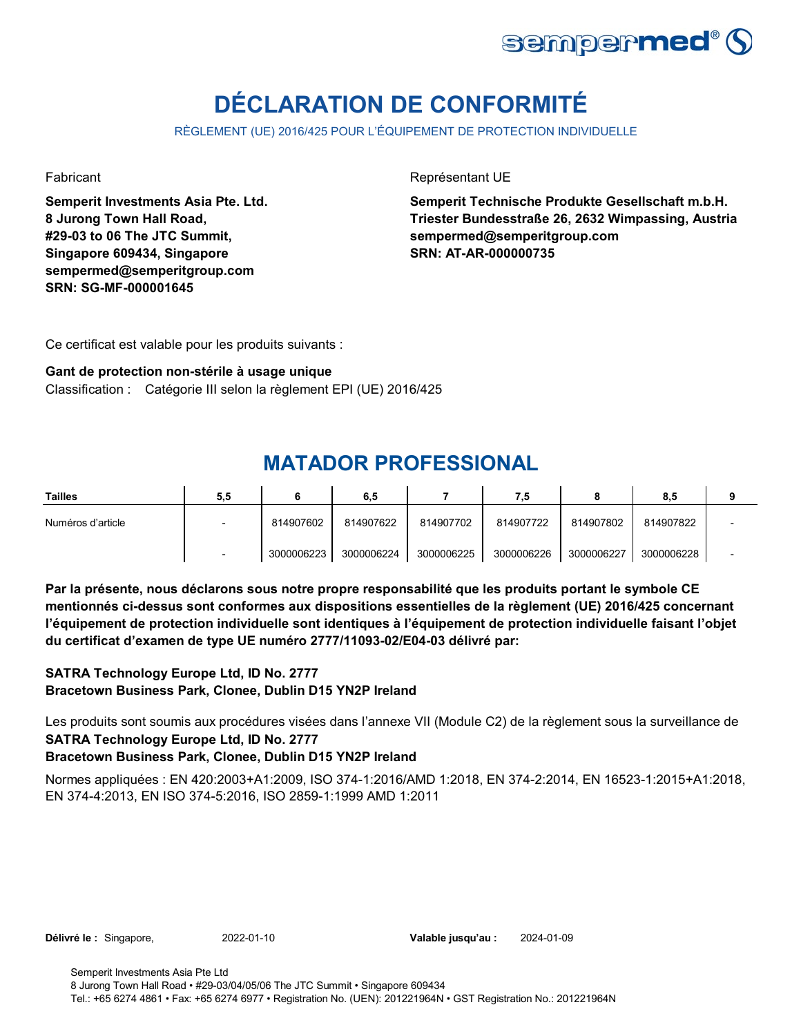

# **DÉCLARATION DE CONFORMITÉ**

RÈGLEMENT (UE) 2016/425 POUR L'ÉQUIPEMENT DE PROTECTION INDIVIDUELLE

**Semperit Investments Asia Pte. Ltd. 8 Jurong Town Hall Road, #29-03 to 06 The JTC Summit, Singapore 609434, Singapore sempermed@semperitgroup.com SRN: SG-MF-000001645**

Fabricant **Représentant UE** 

**Semperit Technische Produkte Gesellschaft m.b.H. Triester Bundesstraße 26, 2632 Wimpassing, Austria sempermed@semperitgroup.com SRN: AT-AR-000000735**

Ce certificat est valable pour les produits suivants :

#### **Gant de protection non-stérile à usage unique**

Classification : Catégorie III selon la règlement EPI (UE) 2016/425

## **MATADOR PROFESSIONAL**

| Tailles           | 5,5 |            | 6,5        |            | 7,5        |            | 8,5        |  |
|-------------------|-----|------------|------------|------------|------------|------------|------------|--|
| Numéros d'article |     | 814907602  | 814907622  | 814907702  | 814907722  | 814907802  | 814907822  |  |
|                   |     | 3000006223 | 3000006224 | 3000006225 | 3000006226 | 3000006227 | 3000006228 |  |

**Par la présente, nous déclarons sous notre propre responsabilité que les produits portant le symbole CE mentionnés ci-dessus sont conformes aux dispositions essentielles de la règlement (UE) 2016/425 concernant l'équipement de protection individuelle sont identiques à l'équipement de protection individuelle faisant l'objet du certificat d'examen de type UE numéro 2777/11093-02/E04-03 délivré par:**

### **SATRA Technology Europe Ltd, ID No. 2777 Bracetown Business Park, Clonee, Dublin D15 YN2P Ireland**

Les produits sont soumis aux procédures visées dans l'annexe VII (Module C2) de la règlement sous la surveillance de **SATRA Technology Europe Ltd, ID No. 2777**

### **Bracetown Business Park, Clonee, Dublin D15 YN2P Ireland**

Normes appliquées : EN 420:2003+A1:2009, ISO 374-1:2016/AMD 1:2018, EN 374-2:2014, EN 16523-1:2015+A1:2018, EN 374-4:2013, EN ISO 374-5:2016, ISO 2859-1:1999 AMD 1:2011

|  | <b>Délivré le : Singapore,</b> |
|--|--------------------------------|
|--|--------------------------------|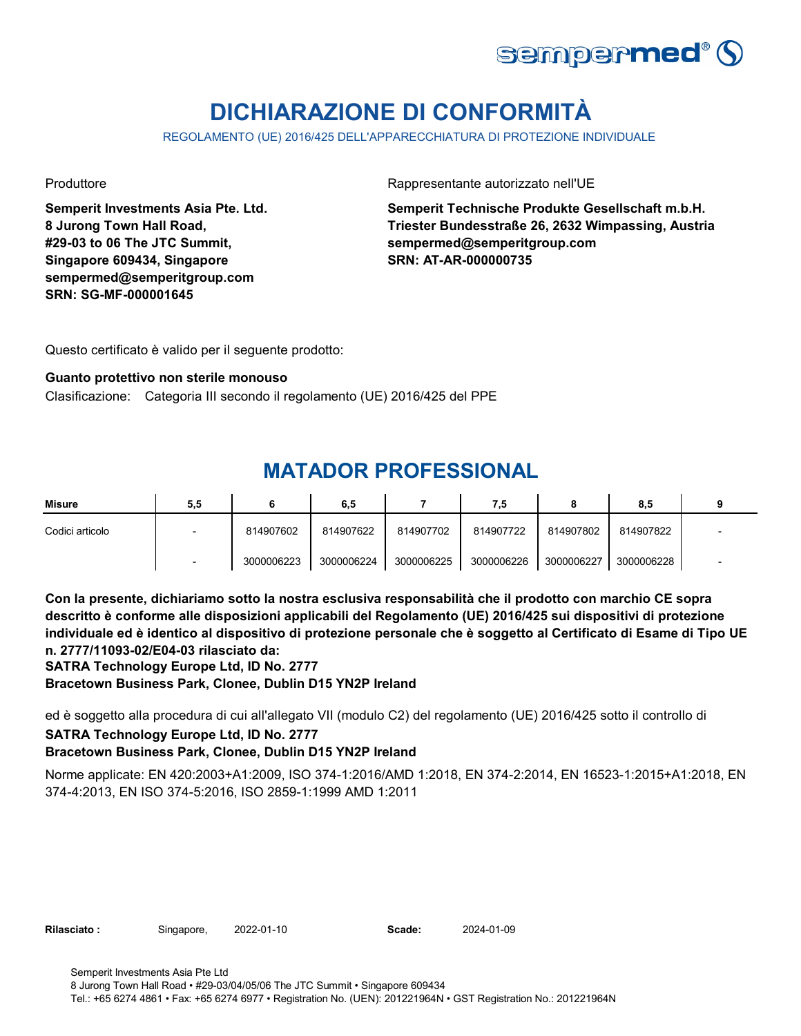

# **DICHIARAZIONE DI CONFORMITÀ**

REGOLAMENTO (UE) 2016/425 DELL'APPARECCHIATURA DI PROTEZIONE INDIVIDUALE

**Semperit Investments Asia Pte. Ltd. 8 Jurong Town Hall Road, #29-03 to 06 The JTC Summit, Singapore 609434, Singapore sempermed@semperitgroup.com SRN: SG-MF-000001645**

Produttore **Rappresentante autorizzato nell'UE** 

**Semperit Technische Produkte Gesellschaft m.b.H. Triester Bundesstraße 26, 2632 Wimpassing, Austria sempermed@semperitgroup.com SRN: AT-AR-000000735**

Questo certificato è valido per il seguente prodotto:

#### **Guanto protettivo non sterile monouso**

Clasificazione: Categoria III secondo il regolamento (UE) 2016/425 del PPE

### **MATADOR PROFESSIONAL**

| <b>Misure</b>   | 5,5 |            | 6,5        |            | 7,5        |            | 8.5        |  |
|-----------------|-----|------------|------------|------------|------------|------------|------------|--|
| Codici articolo |     | 814907602  | 814907622  | 814907702  | 814907722  | 814907802  | 814907822  |  |
|                 |     | 3000006223 | 3000006224 | 3000006225 | 3000006226 | 3000006227 | 3000006228 |  |

**Con la presente, dichiariamo sotto la nostra esclusiva responsabilità che il prodotto con marchio CE sopra descritto è conforme alle disposizioni applicabili del Regolamento (UE) 2016/425 sui dispositivi di protezione individuale ed è identico al dispositivo di protezione personale che è soggetto al Certificato di Esame di Tipo UE n. 2777/11093-02/E04-03 rilasciato da:**

**SATRA Technology Europe Ltd, ID No. 2777**

**Bracetown Business Park, Clonee, Dublin D15 YN2P Ireland**

ed è soggetto alla procedura di cui all'allegato VII (modulo C2) del regolamento (UE) 2016/425 sotto il controllo di **SATRA Technology Europe Ltd, ID No. 2777**

### **Bracetown Business Park, Clonee, Dublin D15 YN2P Ireland**

Norme applicate: EN 420:2003+A1:2009, ISO 374-1:2016/AMD 1:2018, EN 374-2:2014, EN 16523-1:2015+A1:2018, EN 374-4:2013, EN ISO 374-5:2016, ISO 2859-1:1999 AMD 1:2011

| <b>Rilasciato:</b> | Singapore, | 2022-01-10 | Scade: | 2024-01-09 |
|--------------------|------------|------------|--------|------------|
|--------------------|------------|------------|--------|------------|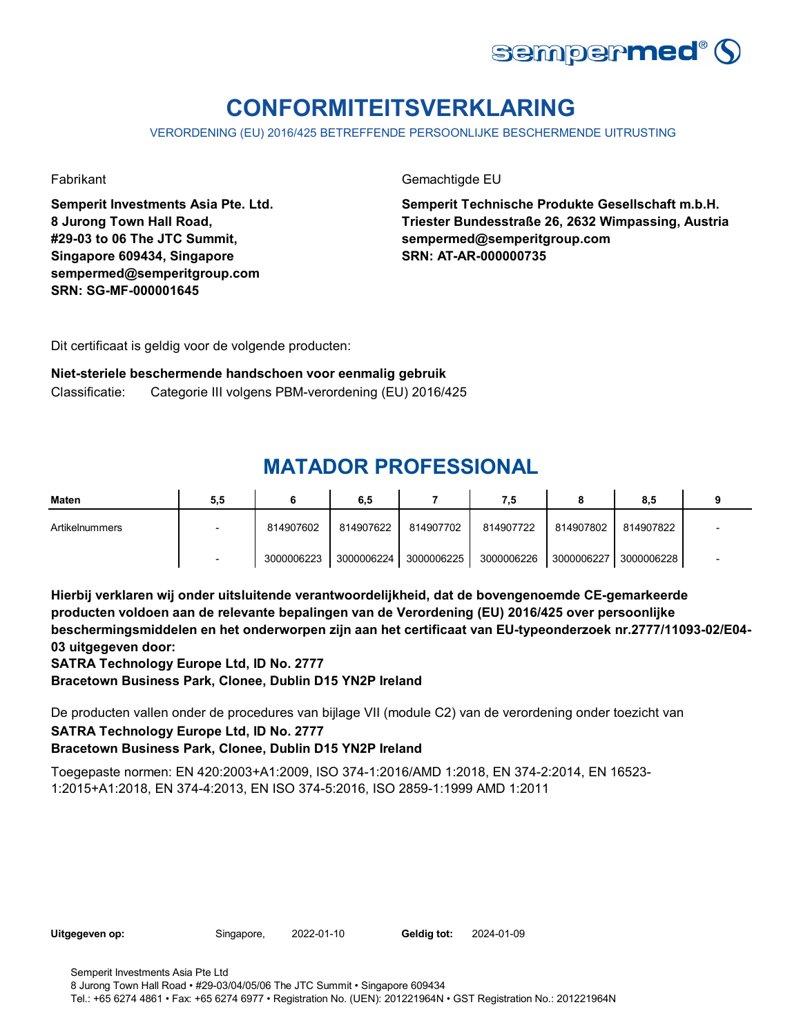

# **CONFORMITEITSVERKLARING**

VERORDENING (EU) 2016/425 BETREFFENDE PERSOONLIJKE BESCHERMENDE UITRUSTING

**Semperit Investments Asia Pte. Ltd. 8 Jurong Town Hall Road, #29-03 to 06 The JTC Summit, Singapore 609434, Singapore sempermed@semperitgroup.com SRN: SG-MF-000001645**

Fabrikant Gemachtigde EU

**Semperit Technische Produkte Gesellschaft m.b.H. Triester Bundesstraße 26, 2632 Wimpassing, Austria sempermed@semperitgroup.com SRN: AT-AR-000000735**

Dit certificaat is geldig voor de volgende producten:

**Niet-steriele beschermende handschoen voor eenmalig gebruik** Classificatie: Categorie III volgens PBM-verordening (EU) 2016/425

## **MATADOR PROFESSIONAL**

| <b>Maten</b>   | 5,5 |            | 6,5        |            | 7.5        |            | 8,5        |  |
|----------------|-----|------------|------------|------------|------------|------------|------------|--|
| Artikelnummers |     | 814907602  | 814907622  | 814907702  | 814907722  | 814907802  | 814907822  |  |
|                |     | 3000006223 | 3000006224 | 3000006225 | 3000006226 | 3000006227 | 3000006228 |  |

**Hierbij verklaren wij onder uitsluitende verantwoordelijkheid, dat de bovengenoemde CE-gemarkeerde producten voldoen aan de relevante bepalingen van de Verordening (EU) 2016/425 over persoonlijke beschermingsmiddelen en het onderworpen zijn aan het certificaat van EU-typeonderzoek nr.2777/11093-02/E04- 03 uitgegeven door:**

**SATRA Technology Europe Ltd, ID No. 2777**

**Bracetown Business Park, Clonee, Dublin D15 YN2P Ireland**

De producten vallen onder de procedures van bijlage VII (module C2) van de verordening onder toezicht van

**SATRA Technology Europe Ltd, ID No. 2777**

**Bracetown Business Park, Clonee, Dublin D15 YN2P Ireland**

Toegepaste normen: EN 420:2003+A1:2009, ISO 374-1:2016/AMD 1:2018, EN 374-2:2014, EN 16523- 1:2015+A1:2018, EN 374-4:2013, EN ISO 374-5:2016, ISO 2859-1:1999 AMD 1:2011

| Uitgegeven op: | Singapore, | 2022-01-10 | Geldig tot: | 2024-01-09 |
|----------------|------------|------------|-------------|------------|
|                |            |            |             |            |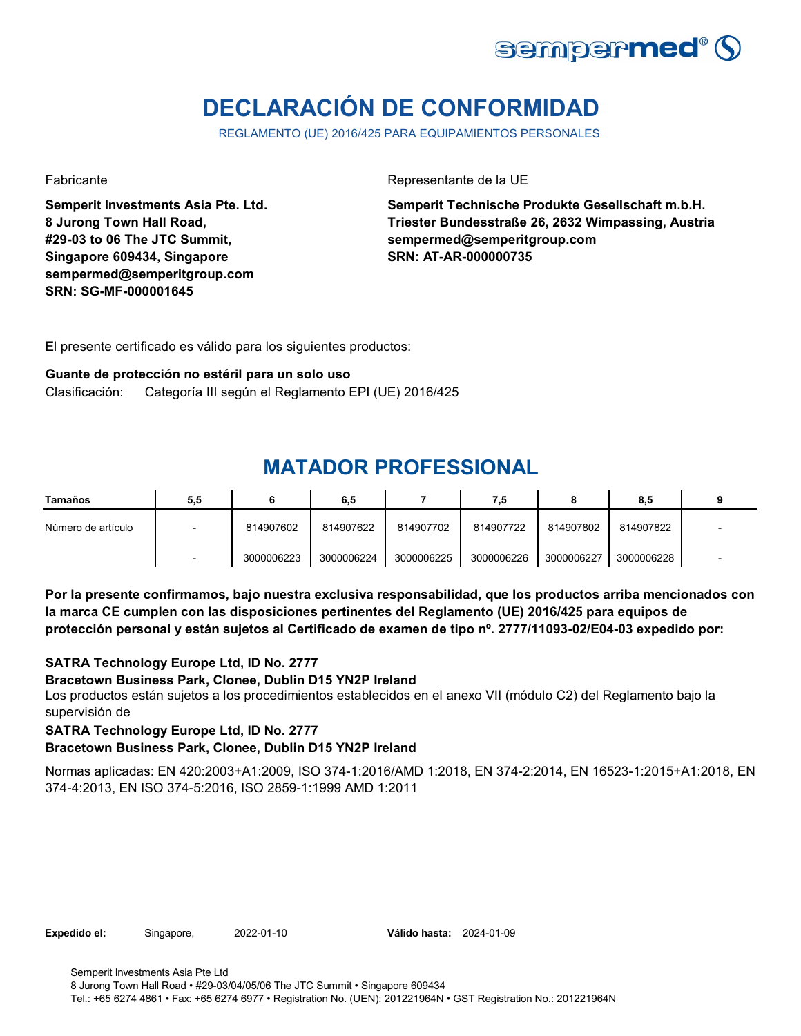![](_page_5_Picture_0.jpeg)

# **DECLARACIÓN DE CONFORMIDAD**

REGLAMENTO (UE) 2016/425 PARA EQUIPAMIENTOS PERSONALES

**Semperit Investments Asia Pte. Ltd. 8 Jurong Town Hall Road, #29-03 to 06 The JTC Summit, Singapore 609434, Singapore sempermed@semperitgroup.com SRN: SG-MF-000001645**

Fabricante Representante de la UE

**Semperit Technische Produkte Gesellschaft m.b.H. Triester Bundesstraße 26, 2632 Wimpassing, Austria sempermed@semperitgroup.com SRN: AT-AR-000000735**

El presente certificado es válido para los siguientes productos:

#### **Guante de protección no estéril para un solo uso**

Clasificación: Categoría III según el Reglamento EPI (UE) 2016/425

## **MATADOR PROFESSIONAL**

| Tamaños            | 5,5 |            | 6,5        |            | 7.5        |            | 8.5        |  |
|--------------------|-----|------------|------------|------------|------------|------------|------------|--|
| Número de artículo |     | 814907602  | 814907622  | 814907702  | 814907722  | 814907802  | 814907822  |  |
|                    |     | 3000006223 | 3000006224 | 3000006225 | 3000006226 | 3000006227 | 3000006228 |  |

**Por la presente confirmamos, bajo nuestra exclusiva responsabilidad, que los productos arriba mencionados con la marca CE cumplen con las disposiciones pertinentes del Reglamento (UE) 2016/425 para equipos de protección personal y están sujetos al Certificado de examen de tipo nº. 2777/11093-02/E04-03 expedido por:**

#### **SATRA Technology Europe Ltd, ID No. 2777**

#### **Bracetown Business Park, Clonee, Dublin D15 YN2P Ireland**

Los productos están sujetos a los procedimientos establecidos en el anexo VII (módulo C2) del Reglamento bajo la supervisión de

**SATRA Technology Europe Ltd, ID No. 2777**

#### **Bracetown Business Park, Clonee, Dublin D15 YN2P Ireland**

Normas aplicadas: EN 420:2003+A1:2009, ISO 374-1:2016/AMD 1:2018, EN 374-2:2014, EN 16523-1:2015+A1:2018, EN 374-4:2013, EN ISO 374-5:2016, ISO 2859-1:1999 AMD 1:2011

**Expedido el:** Singapore, **Válido hasta:** 2022-01-10 2024-01-09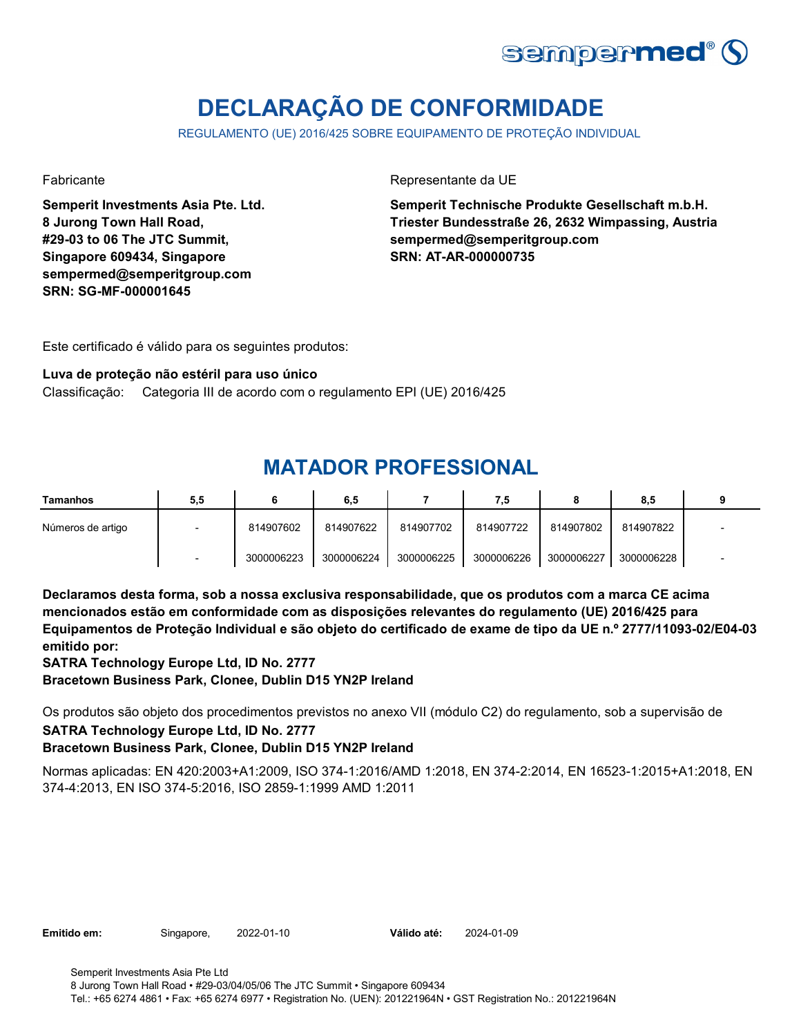![](_page_6_Picture_0.jpeg)

# **DECLARAÇÃO DE CONFORMIDADE**

REGULAMENTO (UE) 2016/425 SOBRE EQUIPAMENTO DE PROTEÇÃO INDIVIDUAL

**Semperit Investments Asia Pte. Ltd. 8 Jurong Town Hall Road, #29-03 to 06 The JTC Summit, Singapore 609434, Singapore sempermed@semperitgroup.com SRN: SG-MF-000001645**

Fabricante Representante da UE

**Semperit Technische Produkte Gesellschaft m.b.H. Triester Bundesstraße 26, 2632 Wimpassing, Austria sempermed@semperitgroup.com SRN: AT-AR-000000735**

Este certificado é válido para os seguintes produtos:

#### **Luva de proteção não estéril para uso único**

Classificação: Categoria III de acordo com o regulamento EPI (UE) 2016/425

## **MATADOR PROFESSIONAL**

| Tamanhos          | 5,5 |            | 6,5        |            | 7,5        |            | 8.5        |  |
|-------------------|-----|------------|------------|------------|------------|------------|------------|--|
| Números de artigo |     | 814907602  | 814907622  | 814907702  | 814907722  | 814907802  | 814907822  |  |
|                   |     | 3000006223 | 3000006224 | 3000006225 | 3000006226 | 3000006227 | 3000006228 |  |

**Declaramos desta forma, sob a nossa exclusiva responsabilidade, que os produtos com a marca CE acima mencionados estão em conformidade com as disposições relevantes do regulamento (UE) 2016/425 para Equipamentos de Proteção Individual e são objeto do certificado de exame de tipo da UE n.º 2777/11093-02/E04-03 emitido por:**

**SATRA Technology Europe Ltd, ID No. 2777**

**Bracetown Business Park, Clonee, Dublin D15 YN2P Ireland**

Os produtos são objeto dos procedimentos previstos no anexo VII (módulo C2) do regulamento, sob a supervisão de

**SATRA Technology Europe Ltd, ID No. 2777**

### **Bracetown Business Park, Clonee, Dublin D15 YN2P Ireland**

Normas aplicadas: EN 420:2003+A1:2009, ISO 374-1:2016/AMD 1:2018, EN 374-2:2014, EN 16523-1:2015+A1:2018, EN 374-4:2013, EN ISO 374-5:2016, ISO 2859-1:1999 AMD 1:2011

| Emitido em: | Singapore, | 2022-01-10 | Válido até: | 2024-01-09 |
|-------------|------------|------------|-------------|------------|
|-------------|------------|------------|-------------|------------|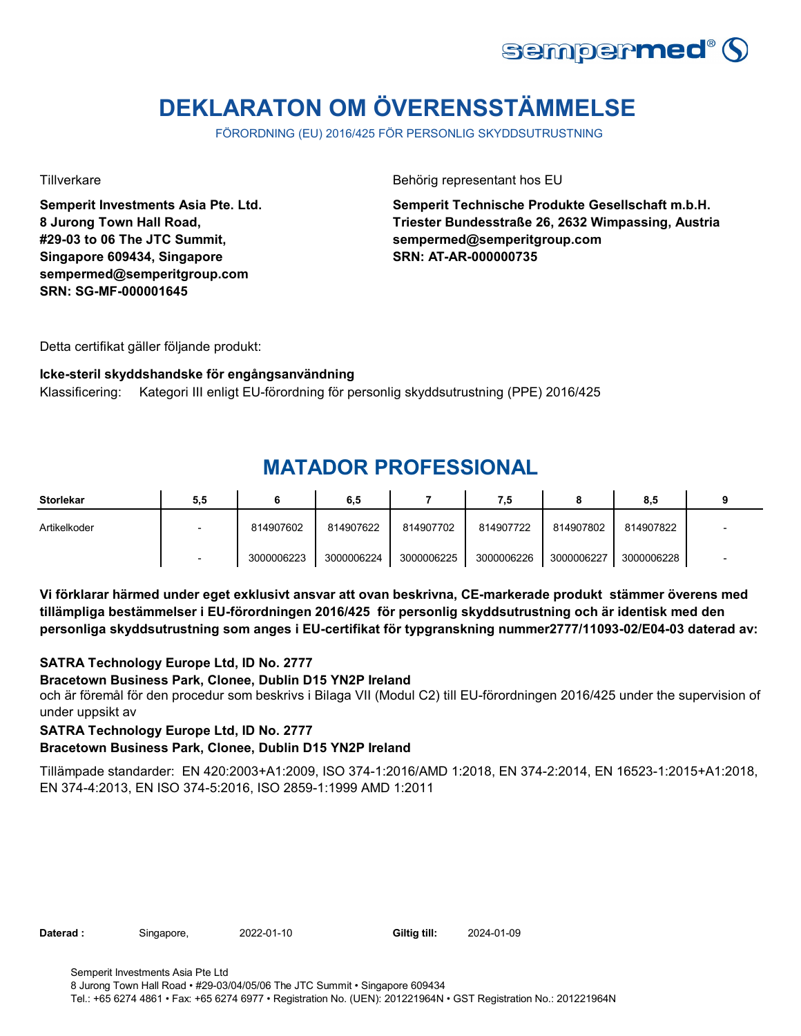![](_page_7_Picture_0.jpeg)

# **DEKLARATON OM ÖVERENSSTÄMMELSE**

FÖRORDNING (EU) 2016/425 FÖR PERSONLIG SKYDDSUTRUSTNING

**Semperit Investments Asia Pte. Ltd. 8 Jurong Town Hall Road, #29-03 to 06 The JTC Summit, Singapore 609434, Singapore sempermed@semperitgroup.com SRN: SG-MF-000001645**

Tillverkare Behörig representant hos EU

**Semperit Technische Produkte Gesellschaft m.b.H. Triester Bundesstraße 26, 2632 Wimpassing, Austria sempermed@semperitgroup.com SRN: AT-AR-000000735**

Detta certifikat gäller följande produkt:

### **Icke-steril skyddshandske för engångsanvändning**

Klassificering: Kategori III enligt EU-förordning för personlig skyddsutrustning (PPE) 2016/425

## **MATADOR PROFESSIONAL**

| <b>Storlekar</b> | 5,5                      |            | 6,5        |            | 7,5        |            | 8,5        |  |
|------------------|--------------------------|------------|------------|------------|------------|------------|------------|--|
| Artikelkoder     | $\overline{\phantom{0}}$ | 814907602  | 814907622  | 814907702  | 814907722  | 814907802  | 814907822  |  |
|                  |                          | 3000006223 | 3000006224 | 3000006225 | 3000006226 | 3000006227 | 3000006228 |  |

**Vi förklarar härmed under eget exklusivt ansvar att ovan beskrivna, CE-markerade produkt stämmer överens med tillämpliga bestämmelser i EU-förordningen 2016/425 för personlig skyddsutrustning och är identisk med den personliga skyddsutrustning som anges i EU-certifikat för typgranskning nummer2777/11093-02/E04-03 daterad av:**

### **SATRA Technology Europe Ltd, ID No. 2777**

#### **Bracetown Business Park, Clonee, Dublin D15 YN2P Ireland**

och är föremål för den procedur som beskrivs i Bilaga VII (Modul C2) till EU-förordningen 2016/425 under the supervision of under uppsikt av

#### **SATRA Technology Europe Ltd, ID No. 2777**

#### **Bracetown Business Park, Clonee, Dublin D15 YN2P Ireland**

Tillämpade standarder: EN 420:2003+A1:2009, ISO 374-1:2016/AMD 1:2018, EN 374-2:2014, EN 16523-1:2015+A1:2018, EN 374-4:2013, EN ISO 374-5:2016, ISO 2859-1:1999 AMD 1:2011

| 2022-01-10<br>Daterad :<br>Singapore, | Giltig till: | 2024-01-09 |
|---------------------------------------|--------------|------------|
|---------------------------------------|--------------|------------|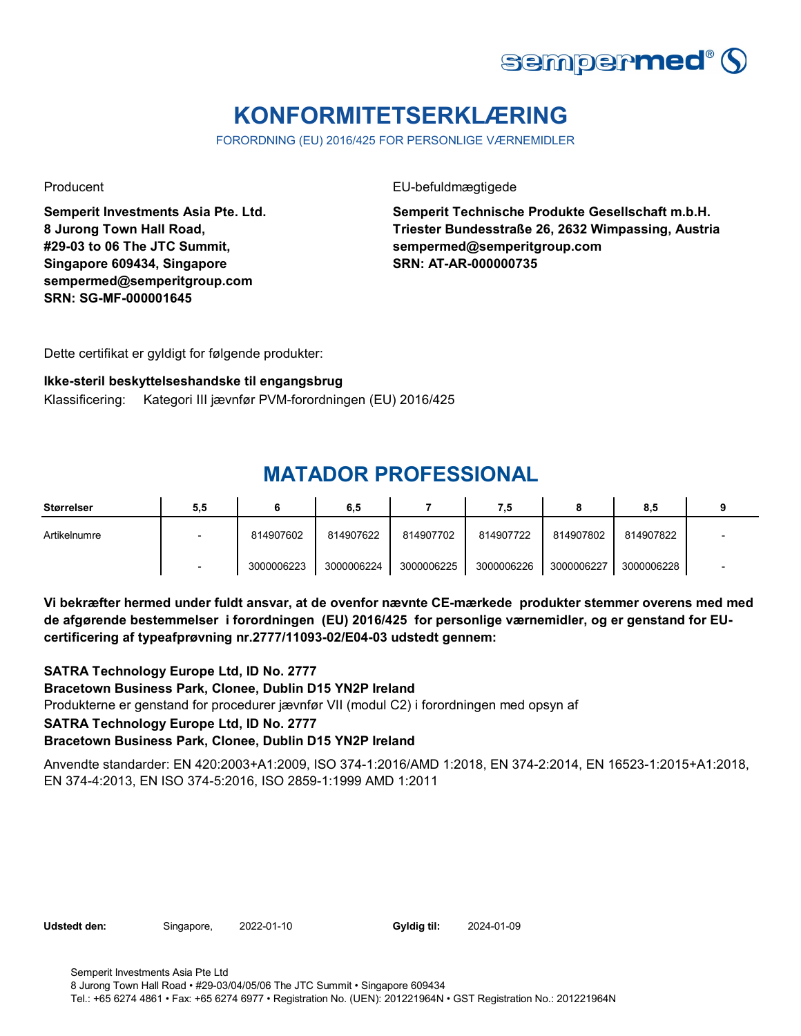![](_page_8_Picture_0.jpeg)

# **KONFORMITETSERKLÆRING**

FORORDNING (EU) 2016/425 FOR PERSONLIGE VÆRNEMIDLER

**Semperit Investments Asia Pte. Ltd. 8 Jurong Town Hall Road, #29-03 to 06 The JTC Summit, Singapore 609434, Singapore sempermed@semperitgroup.com SRN: SG-MF-000001645**

Producent EU-befuldmægtigede

**Semperit Technische Produkte Gesellschaft m.b.H. Triester Bundesstraße 26, 2632 Wimpassing, Austria sempermed@semperitgroup.com SRN: AT-AR-000000735**

Dette certifikat er gyldigt for følgende produkter:

### **Ikke-steril beskyttelseshandske til engangsbrug**

Klassificering: Kategori III jævnfør PVM-forordningen (EU) 2016/425

### **MATADOR PROFESSIONAL**

| Størrelser   | 5,5                      |            | 6,5        |            | 7,5        |            | 8,5        |  |
|--------------|--------------------------|------------|------------|------------|------------|------------|------------|--|
| Artikelnumre | $\overline{\phantom{0}}$ | 814907602  | 814907622  | 814907702  | 814907722  | 814907802  | 814907822  |  |
|              |                          | 3000006223 | 3000006224 | 3000006225 | 3000006226 | 3000006227 | 3000006228 |  |

**Vi bekræfter hermed under fuldt ansvar, at de ovenfor nævnte CE-mærkede produkter stemmer overens med med de afgørende bestemmelser i forordningen (EU) 2016/425 for personlige værnemidler, og er genstand for EUcertificering af typeafprøvning nr.2777/11093-02/E04-03 udstedt gennem:**

### **SATRA Technology Europe Ltd, ID No. 2777**

**Bracetown Business Park, Clonee, Dublin D15 YN2P Ireland**

Produkterne er genstand for procedurer jævnfør VII (modul C2) i forordningen med opsyn af

#### **SATRA Technology Europe Ltd, ID No. 2777**

### **Bracetown Business Park, Clonee, Dublin D15 YN2P Ireland**

Anvendte standarder: EN 420:2003+A1:2009, ISO 374-1:2016/AMD 1:2018, EN 374-2:2014, EN 16523-1:2015+A1:2018, EN 374-4:2013, EN ISO 374-5:2016, ISO 2859-1:1999 AMD 1:2011

**Udstedt den:** Singapore, 2022-01-10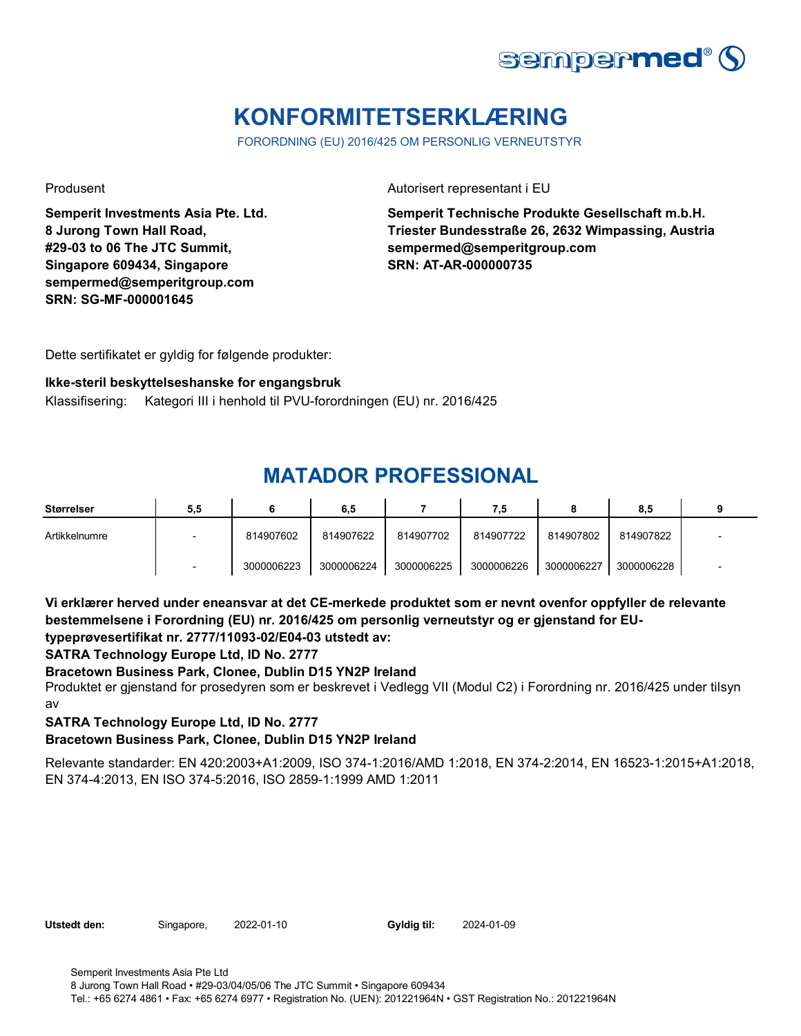![](_page_9_Picture_0.jpeg)

# **KONFORMITETSERKLÆRING**

FORORDNING (EU) 2016/425 OM PERSONLIG VERNEUTSTYR

**Semperit Investments Asia Pte. Ltd. 8 Jurong Town Hall Road, #29-03 to 06 The JTC Summit, Singapore 609434, Singapore sempermed@semperitgroup.com SRN: SG-MF-000001645**

Produsent **Autorisert representant i EU** 

**Semperit Technische Produkte Gesellschaft m.b.H. Triester Bundesstraße 26, 2632 Wimpassing, Austria sempermed@semperitgroup.com SRN: AT-AR-000000735**

Dette sertifikatet er gyldig for følgende produkter:

### **Ikke-steril beskyttelseshanske for engangsbruk**

Klassifisering: Kategori III i henhold til PVU-forordningen (EU) nr. 2016/425

### **MATADOR PROFESSIONAL**

| Størrelser    | 5,5 |            | 6,5        |            | 7,5        |            | 8.5        |  |
|---------------|-----|------------|------------|------------|------------|------------|------------|--|
| Artikkelnumre |     | 814907602  | 814907622  | 814907702  | 814907722  | 814907802  | 814907822  |  |
|               |     | 3000006223 | 3000006224 | 3000006225 | 3000006226 | 3000006227 | 3000006228 |  |

**Vi erklærer herved under eneansvar at det CE-merkede produktet som er nevnt ovenfor oppfyller de relevante bestemmelsene i Forordning (EU) nr. 2016/425 om personlig verneutstyr og er gjenstand for EUtypeprøvesertifikat nr. 2777/11093-02/E04-03 utstedt av:**

**SATRA Technology Europe Ltd, ID No. 2777**

**Bracetown Business Park, Clonee, Dublin D15 YN2P Ireland**

Produktet er gjenstand for prosedyren som er beskrevet i Vedlegg VII (Modul C2) i Forordning nr. 2016/425 under tilsyn av

### **SATRA Technology Europe Ltd, ID No. 2777**

### **Bracetown Business Park, Clonee, Dublin D15 YN2P Ireland**

Relevante standarder: EN 420:2003+A1:2009, ISO 374-1:2016/AMD 1:2018, EN 374-2:2014, EN 16523-1:2015+A1:2018, EN 374-4:2013, EN ISO 374-5:2016, ISO 2859-1:1999 AMD 1:2011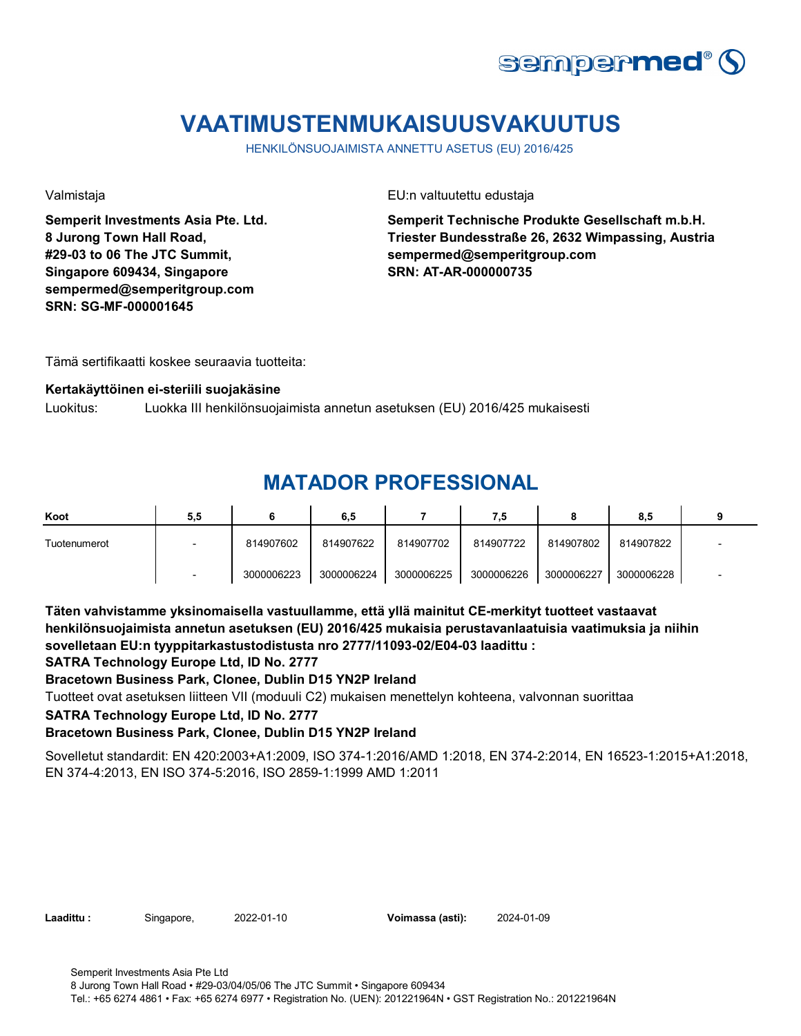![](_page_10_Picture_0.jpeg)

# **VAATIMUSTENMUKAISUUSVAKUUTUS**

HENKILÖNSUOJAIMISTA ANNETTU ASETUS (EU) 2016/425

**Semperit Investments Asia Pte. Ltd. 8 Jurong Town Hall Road, #29-03 to 06 The JTC Summit, Singapore 609434, Singapore sempermed@semperitgroup.com SRN: SG-MF-000001645**

Valmistaja EU:n valtuutettu edustaja

**Semperit Technische Produkte Gesellschaft m.b.H. Triester Bundesstraße 26, 2632 Wimpassing, Austria sempermed@semperitgroup.com SRN: AT-AR-000000735**

Tämä sertifikaatti koskee seuraavia tuotteita:

#### **Kertakäyttöinen ei-steriili suojakäsine**

Luokitus: Luokka III henkilönsuojaimista annetun asetuksen (EU) 2016/425 mukaisesti

### **MATADOR PROFESSIONAL**

| Koot         | 5,5 |            | 6,5        |            | 7.5        |            | 8,5        |  |
|--------------|-----|------------|------------|------------|------------|------------|------------|--|
| Tuotenumerot |     | 814907602  | 814907622  | 814907702  | 814907722  | 814907802  | 814907822  |  |
|              |     | 3000006223 | 3000006224 | 3000006225 | 3000006226 | 3000006227 | 3000006228 |  |

**Täten vahvistamme yksinomaisella vastuullamme, että yllä mainitut CE-merkityt tuotteet vastaavat henkilönsuojaimista annetun asetuksen (EU) 2016/425 mukaisia perustavanlaatuisia vaatimuksia ja niihin sovelletaan EU:n tyyppitarkastustodistusta nro 2777/11093-02/E04-03 laadittu :**

#### **SATRA Technology Europe Ltd, ID No. 2777**

**Bracetown Business Park, Clonee, Dublin D15 YN2P Ireland**

Tuotteet ovat asetuksen liitteen VII (moduuli C2) mukaisen menettelyn kohteena, valvonnan suorittaa

#### **SATRA Technology Europe Ltd, ID No. 2777**

#### **Bracetown Business Park, Clonee, Dublin D15 YN2P Ireland**

Sovelletut standardit: EN 420:2003+A1:2009, ISO 374-1:2016/AMD 1:2018, EN 374-2:2014, EN 16523-1:2015+A1:2018, EN 374-4:2013, EN ISO 374-5:2016, ISO 2859-1:1999 AMD 1:2011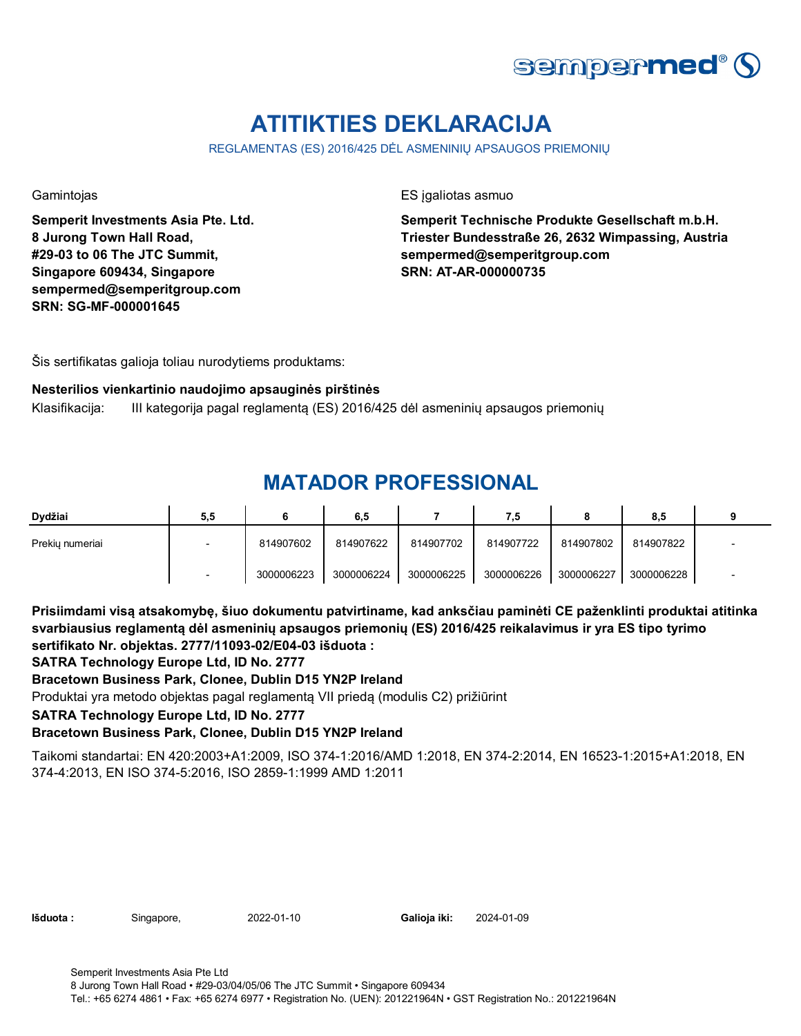![](_page_11_Picture_0.jpeg)

# **ATITIKTIES DEKLARACIJA**

REGLAMENTAS (ES) 2016/425 DĖL ASMENINIŲ APSAUGOS PRIEMONIŲ

**Semperit Investments Asia Pte. Ltd. 8 Jurong Town Hall Road, #29-03 to 06 The JTC Summit, Singapore 609434, Singapore sempermed@semperitgroup.com SRN: SG-MF-000001645**

Gamintojas ES įgaliotas asmuo

**Semperit Technische Produkte Gesellschaft m.b.H. Triester Bundesstraße 26, 2632 Wimpassing, Austria sempermed@semperitgroup.com SRN: AT-AR-000000735**

Šis sertifikatas galioja toliau nurodytiems produktams:

#### **Nesterilios vienkartinio naudojimo apsauginės pirštinės**

Klasifikacija: III kategorija pagal reglamentą (ES) 2016/425 dėl asmeninių apsaugos priemonių

## **MATADOR PROFESSIONAL**

| Dydžiai         | 5,5 |            | 6,5        |            | 7,5        | О          | 8.5        |  |
|-----------------|-----|------------|------------|------------|------------|------------|------------|--|
| Prekiu numeriai |     | 814907602  | 814907622  | 814907702  | 814907722  | 814907802  | 814907822  |  |
|                 |     | 3000006223 | 3000006224 | 3000006225 | 3000006226 | 3000006227 | 3000006228 |  |

**Prisiimdami visą atsakomybę, šiuo dokumentu patvirtiname, kad anksčiau paminėti CE paženklinti produktai atitinka svarbiausius reglamentą dėl asmeninių apsaugos priemonių (ES) 2016/425 reikalavimus ir yra ES tipo tyrimo sertifikato Nr. objektas. 2777/11093-02/E04-03 išduota :**

### **SATRA Technology Europe Ltd, ID No. 2777**

### **Bracetown Business Park, Clonee, Dublin D15 YN2P Ireland**

Produktai yra metodo objektas pagal reglamentą VII priedą (modulis C2) prižiūrint

#### **SATRA Technology Europe Ltd, ID No. 2777**

### **Bracetown Business Park, Clonee, Dublin D15 YN2P Ireland**

Taikomi standartai: EN 420:2003+A1:2009, ISO 374-1:2016/AMD 1:2018, EN 374-2:2014, EN 16523-1:2015+A1:2018, EN 374-4:2013, EN ISO 374-5:2016, ISO 2859-1:1999 AMD 1:2011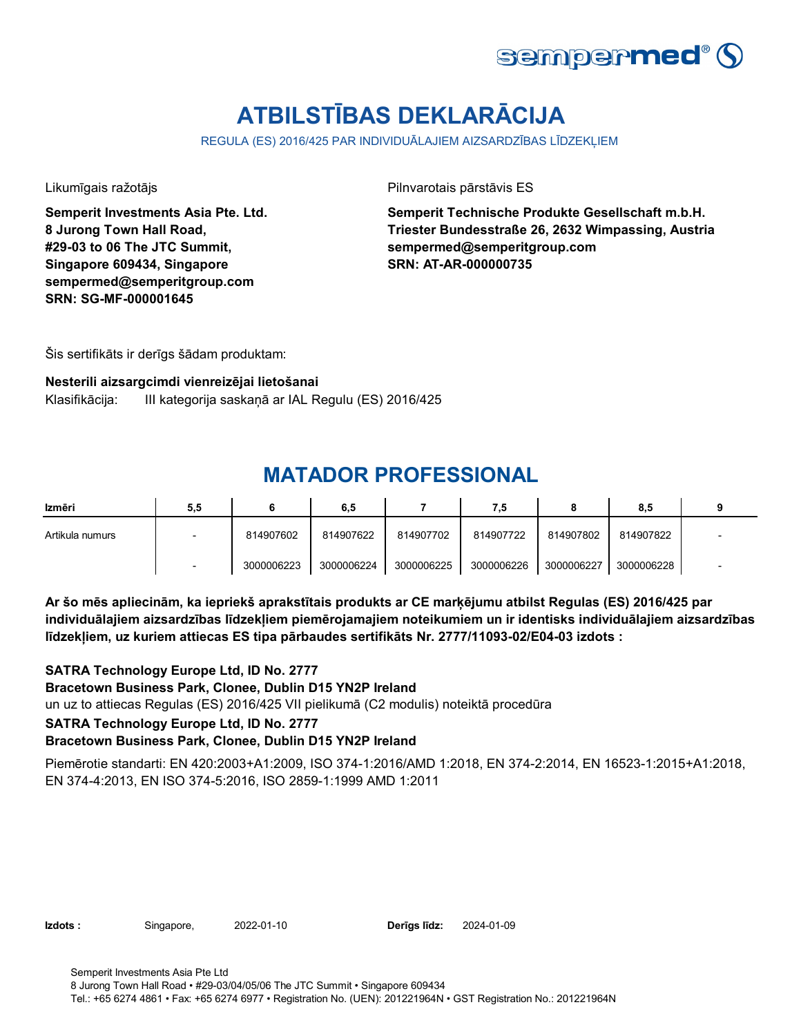![](_page_12_Picture_0.jpeg)

# **ATBILSTĪBAS DEKLARĀCIJA**

REGULA (ES) 2016/425 PAR INDIVIDUĀLAJIEM AIZSARDZĪBAS LĪDZEKĻIEM

**Semperit Investments Asia Pte. Ltd. 8 Jurong Town Hall Road, #29-03 to 06 The JTC Summit, Singapore 609434, Singapore sempermed@semperitgroup.com SRN: SG-MF-000001645**

Likumīgais ražotājs Pilnvarotais pārstāvis ES

**Semperit Technische Produkte Gesellschaft m.b.H. Triester Bundesstraße 26, 2632 Wimpassing, Austria sempermed@semperitgroup.com SRN: AT-AR-000000735**

Šis sertifikāts ir derīgs šādam produktam:

### **Nesterili aizsargcimdi vienreizējai lietošanai** Klasifikācija: III kategorija saskaņā ar IAL Regulu (ES) 2016/425

## **MATADOR PROFESSIONAL**

| Izmēri          | 5,5 |            | 6,5        |            | 7,5        |            | 8.5        |  |
|-----------------|-----|------------|------------|------------|------------|------------|------------|--|
| Artikula numurs |     | 814907602  | 814907622  | 814907702  | 814907722  | 814907802  | 814907822  |  |
|                 |     | 3000006223 | 3000006224 | 3000006225 | 3000006226 | 3000006227 | 3000006228 |  |

**Ar šo mēs apliecinām, ka iepriekš aprakstītais produkts ar CE marķējumu atbilst Regulas (ES) 2016/425 par individuālajiem aizsardzības līdzekļiem piemērojamajiem noteikumiem un ir identisks individuālajiem aizsardzības līdzekļiem, uz kuriem attiecas ES tipa pārbaudes sertifikāts Nr. 2777/11093-02/E04-03 izdots :**

un uz to attiecas Regulas (ES) 2016/425 VII pielikumā (C2 modulis) noteiktā procedūra **SATRA Technology Europe Ltd, ID No. 2777 Bracetown Business Park, Clonee, Dublin D15 YN2P Ireland SATRA Technology Europe Ltd, ID No. 2777 Bracetown Business Park, Clonee, Dublin D15 YN2P Ireland**

Piemērotie standarti: EN 420:2003+A1:2009, ISO 374-1:2016/AMD 1:2018, EN 374-2:2014, EN 16523-1:2015+A1:2018, EN 374-4:2013, EN ISO 374-5:2016, ISO 2859-1:1999 AMD 1:2011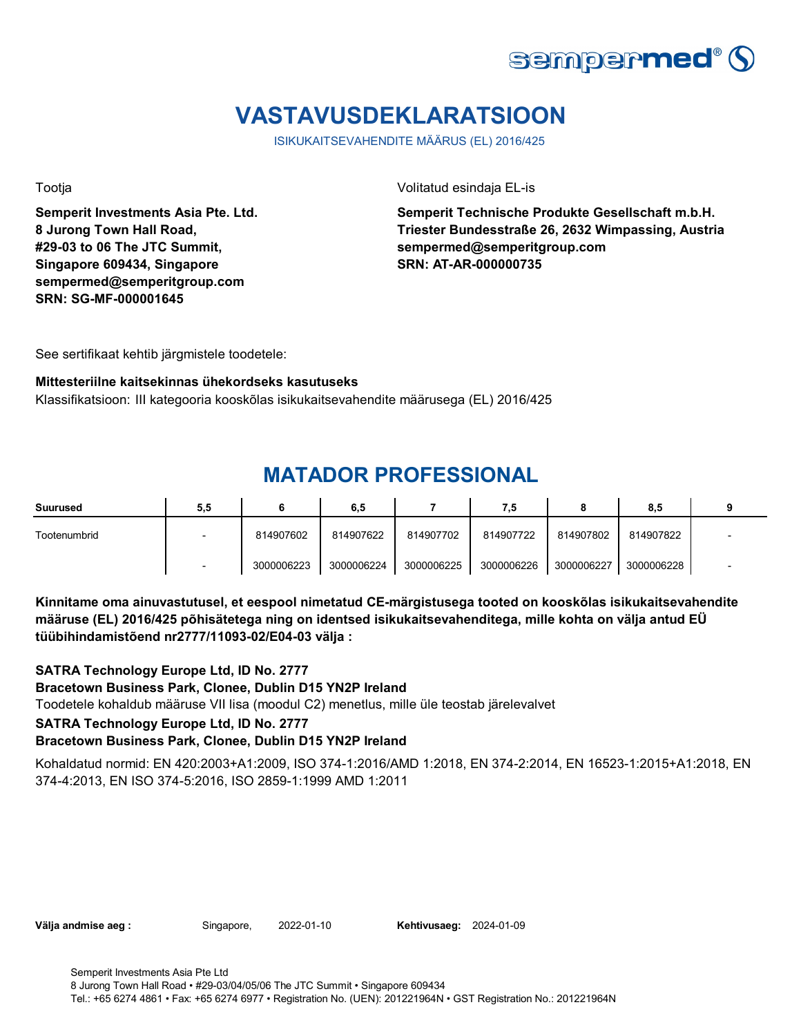![](_page_13_Picture_0.jpeg)

# **VASTAVUSDEKLARATSIOON**

ISIKUKAITSEVAHENDITE MÄÄRUS (EL) 2016/425

**Semperit Investments Asia Pte. Ltd. 8 Jurong Town Hall Road, #29-03 to 06 The JTC Summit, Singapore 609434, Singapore sempermed@semperitgroup.com SRN: SG-MF-000001645**

Tootja Volitatud esindaja EL-is

**Semperit Technische Produkte Gesellschaft m.b.H. Triester Bundesstraße 26, 2632 Wimpassing, Austria sempermed@semperitgroup.com SRN: AT-AR-000000735**

See sertifikaat kehtib järgmistele toodetele:

### **Mittesteriilne kaitsekinnas ühekordseks kasutuseks**

Klassifikatsioon: III kategooria kooskõlas isikukaitsevahendite määrusega (EL) 2016/425

### **MATADOR PROFESSIONAL**

| Suurused     | 5,5                      |            | 6.5        |            | ۵.         |            | 8,5        |  |
|--------------|--------------------------|------------|------------|------------|------------|------------|------------|--|
| Tootenumbrid | $\overline{\phantom{0}}$ | 814907602  | 814907622  | 814907702  | 814907722  | 814907802  | 814907822  |  |
|              |                          | 3000006223 | 3000006224 | 3000006225 | 3000006226 | 3000006227 | 3000006228 |  |

**Kinnitame oma ainuvastutusel, et eespool nimetatud CE-märgistusega tooted on kooskõlas isikukaitsevahendite määruse (EL) 2016/425 põhisätetega ning on identsed isikukaitsevahenditega, mille kohta on välja antud EÜ tüübihindamistõend nr2777/11093-02/E04-03 välja :**

Toodetele kohaldub määruse VII lisa (moodul C2) menetlus, mille üle teostab järelevalvet **SATRA Technology Europe Ltd, ID No. 2777 Bracetown Business Park, Clonee, Dublin D15 YN2P Ireland SATRA Technology Europe Ltd, ID No. 2777 Bracetown Business Park, Clonee, Dublin D15 YN2P Ireland**

Kohaldatud normid: EN 420:2003+A1:2009, ISO 374-1:2016/AMD 1:2018, EN 374-2:2014, EN 16523-1:2015+A1:2018, EN 374-4:2013, EN ISO 374-5:2016, ISO 2859-1:1999 AMD 1:2011

**Välja andmise aeg :** Singapore, 2022-01-10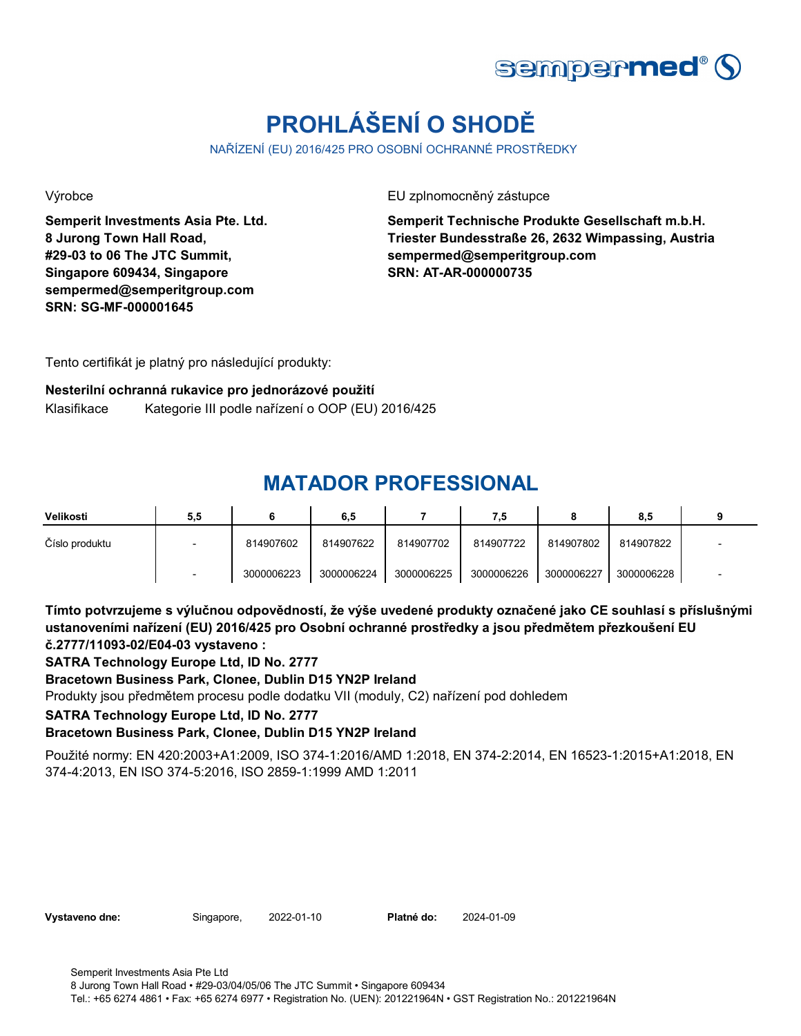![](_page_14_Picture_0.jpeg)

# **PROHLÁŠENÍ O SHODĚ**

NAŘÍZENÍ (EU) 2016/425 PRO OSOBNÍ OCHRANNÉ PROSTŘEDKY

**Semperit Investments Asia Pte. Ltd. 8 Jurong Town Hall Road, #29-03 to 06 The JTC Summit, Singapore 609434, Singapore sempermed@semperitgroup.com SRN: SG-MF-000001645**

Výrobce EU zplnomocněný zástupce

**Semperit Technische Produkte Gesellschaft m.b.H. Triester Bundesstraße 26, 2632 Wimpassing, Austria sempermed@semperitgroup.com SRN: AT-AR-000000735**

Tento certifikát je platný pro následující produkty:

#### **Nesterilní ochranná rukavice pro jednorázové použití**

Klasifikace Kategorie III podle nařízení o OOP (EU) 2016/425

### **MATADOR PROFESSIONAL**

| Velikosti      | 5,5 |            | 6,5        |            | 7.5        |            | 8,5        |  |
|----------------|-----|------------|------------|------------|------------|------------|------------|--|
| Číslo produktu |     | 814907602  | 814907622  | 814907702  | 814907722  | 814907802  | 814907822  |  |
|                |     | 3000006223 | 3000006224 | 3000006225 | 3000006226 | 3000006227 | 3000006228 |  |

**Tímto potvrzujeme s výlučnou odpovědností, že výše uvedené produkty označené jako CE souhlasí s příslušnými ustanoveními nařízení (EU) 2016/425 pro Osobní ochranné prostředky a jsou předmětem přezkoušení EU č.2777/11093-02/E04-03 vystaveno :**

**SATRA Technology Europe Ltd, ID No. 2777**

### **Bracetown Business Park, Clonee, Dublin D15 YN2P Ireland**

Produkty jsou předmětem procesu podle dodatku VII (moduly, C2) nařízení pod dohledem

#### **SATRA Technology Europe Ltd, ID No. 2777**

### **Bracetown Business Park, Clonee, Dublin D15 YN2P Ireland**

Použité normy: EN 420:2003+A1:2009, ISO 374-1:2016/AMD 1:2018, EN 374-2:2014, EN 16523-1:2015+A1:2018, EN 374-4:2013, EN ISO 374-5:2016, ISO 2859-1:1999 AMD 1:2011

| Vystaveno dne: |  |
|----------------|--|
|----------------|--|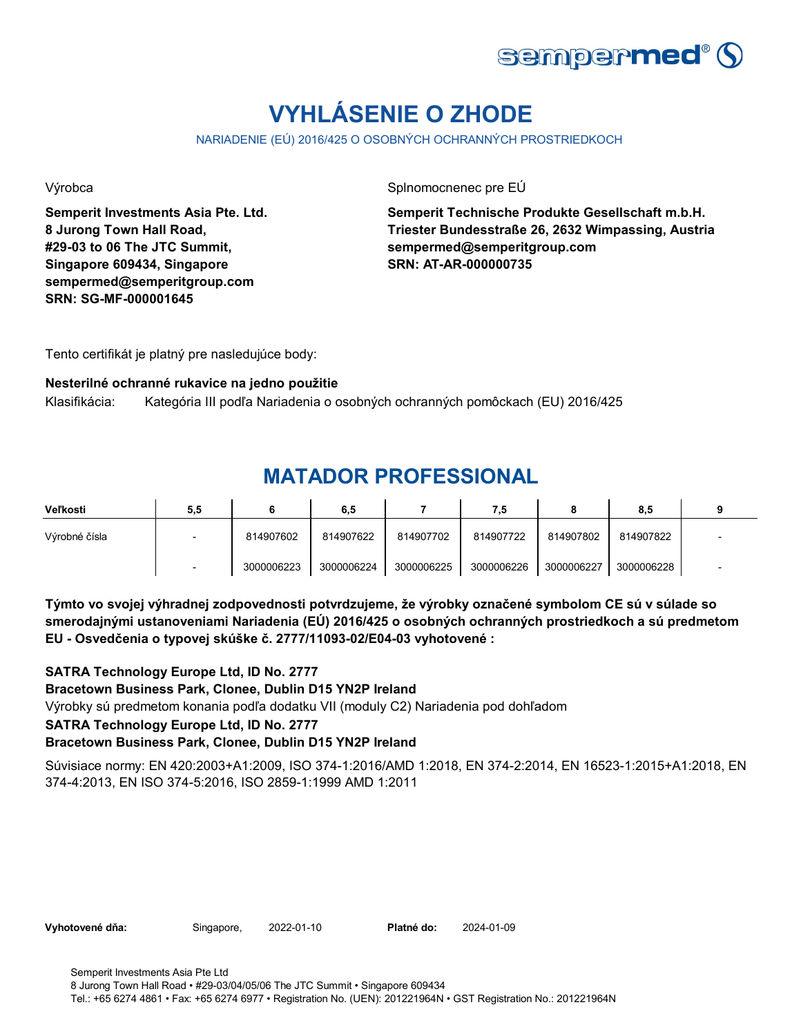![](_page_15_Picture_0.jpeg)

# **VYHLÁSENIE O ZHODE**

NARIADENIE (EÚ) 2016/425 O OSOBNÝCH OCHRANNÝCH PROSTRIEDKOCH

**Semperit Investments Asia Pte. Ltd. 8 Jurong Town Hall Road, #29-03 to 06 The JTC Summit, Singapore 609434, Singapore sempermed@semperitgroup.com SRN: SG-MF-000001645**

Výrobca **Splnomocnenec** pre EÚ

**Semperit Technische Produkte Gesellschaft m.b.H. Triester Bundesstraße 26, 2632 Wimpassing, Austria sempermed@semperitgroup.com SRN: AT-AR-000000735**

Tento certifikát je platný pre nasledujúce body:

#### **Nesterilné ochranné rukavice na jedno použitie**

Klasifikácia: Kategória III podľa Nariadenia o osobných ochranných pomôckach (EU) 2016/425

## **MATADOR PROFESSIONAL**

| Veľkosti      | 5,5 |            | 6,5        |            | 7,5        |            | 8.5        |  |
|---------------|-----|------------|------------|------------|------------|------------|------------|--|
| Výrobné čísla |     | 814907602  | 814907622  | 814907702  | 814907722  | 814907802  | 814907822  |  |
|               |     | 3000006223 | 3000006224 | 3000006225 | 3000006226 | 3000006227 | 3000006228 |  |

**Týmto vo svojej výhradnej zodpovednosti potvrdzujeme, že výrobky označené symbolom CE sú v súlade so smerodajnými ustanoveniami Nariadenia (EÚ) 2016/425 o osobných ochranných prostriedkoch a sú predmetom EU - Osvedčenia o typovej skúške č. 2777/11093-02/E04-03 vyhotovené :**

**SATRA Technology Europe Ltd, ID No. 2777**

**Bracetown Business Park, Clonee, Dublin D15 YN2P Ireland**

Výrobky sú predmetom konania podľa dodatku VII (moduly C2) Nariadenia pod dohľadom

### **SATRA Technology Europe Ltd, ID No. 2777**

### **Bracetown Business Park, Clonee, Dublin D15 YN2P Ireland**

Súvisiace normy: EN 420:2003+A1:2009, ISO 374-1:2016/AMD 1:2018, EN 374-2:2014, EN 16523-1:2015+A1:2018, EN 374-4:2013, EN ISO 374-5:2016, ISO 2859-1:1999 AMD 1:2011

**Vyhotovené dňa:** Singapore, 2022-01-10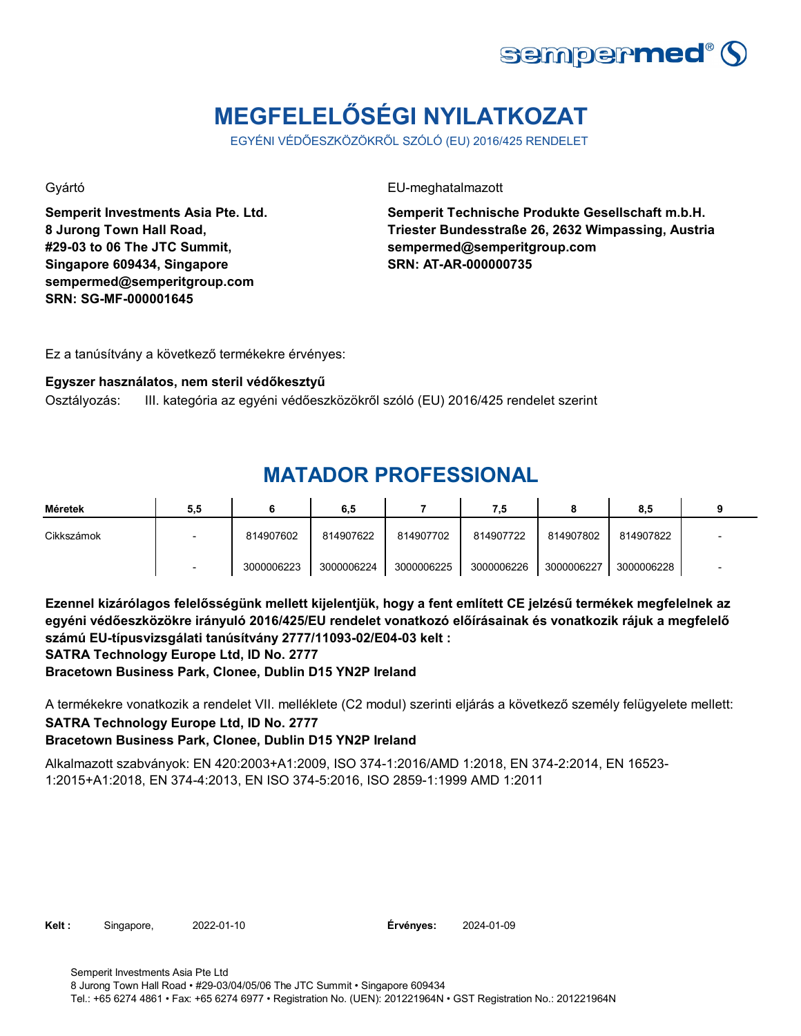![](_page_16_Picture_0.jpeg)

# **MEGFELELŐSÉGI NYILATKOZAT**

EGYÉNI VÉDŐESZKÖZÖKRŐL SZÓLÓ (EU) 2016/425 RENDELET

**Semperit Investments Asia Pte. Ltd. 8 Jurong Town Hall Road, #29-03 to 06 The JTC Summit, Singapore 609434, Singapore sempermed@semperitgroup.com SRN: SG-MF-000001645**

Gyártó EU-meghatalmazott

**Semperit Technische Produkte Gesellschaft m.b.H. Triester Bundesstraße 26, 2632 Wimpassing, Austria sempermed@semperitgroup.com SRN: AT-AR-000000735**

Ez a tanúsítvány a következő termékekre érvényes:

#### **Egyszer használatos, nem steril védőkesztyű**

Osztályozás: III. kategória az egyéni védőeszközökről szóló (EU) 2016/425 rendelet szerint

### **MATADOR PROFESSIONAL**

| Méretek    | 5,5 |            | 6,5        |            | 7,5        |            | 8,5        |  |
|------------|-----|------------|------------|------------|------------|------------|------------|--|
| Cikkszámok |     | 814907602  | 814907622  | 814907702  | 814907722  | 814907802  | 814907822  |  |
|            |     | 3000006223 | 3000006224 | 3000006225 | 3000006226 | 3000006227 | 3000006228 |  |

**Ezennel kizárólagos felelősségünk mellett kijelentjük, hogy a fent említett CE jelzésű termékek megfelelnek az egyéni védőeszközökre irányuló 2016/425/EU rendelet vonatkozó előírásainak és vonatkozik rájuk a megfelelő számú EU-típusvizsgálati tanúsítvány 2777/11093-02/E04-03 kelt :**

**SATRA Technology Europe Ltd, ID No. 2777**

**Bracetown Business Park, Clonee, Dublin D15 YN2P Ireland**

A termékekre vonatkozik a rendelet VII. melléklete (C2 modul) szerinti eljárás a következő személy felügyelete mellett: **SATRA Technology Europe Ltd, ID No. 2777**

### **Bracetown Business Park, Clonee, Dublin D15 YN2P Ireland**

Alkalmazott szabványok: EN 420:2003+A1:2009, ISO 374-1:2016/AMD 1:2018, EN 374-2:2014, EN 16523- 1:2015+A1:2018, EN 374-4:2013, EN ISO 374-5:2016, ISO 2859-1:1999 AMD 1:2011

**Kelt :** Singapore, 2022-01-10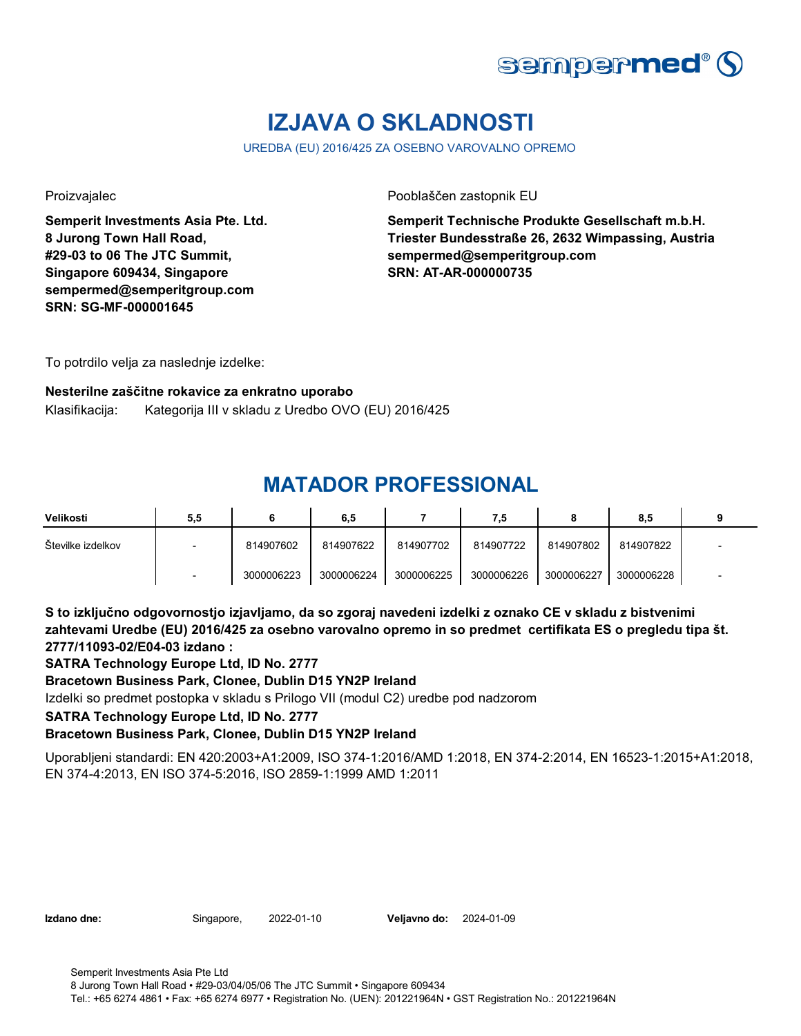![](_page_17_Picture_0.jpeg)

# **IZJAVA O SKLADNOSTI**

UREDBA (EU) 2016/425 ZA OSEBNO VAROVALNO OPREMO

**Semperit Investments Asia Pte. Ltd. 8 Jurong Town Hall Road, #29-03 to 06 The JTC Summit, Singapore 609434, Singapore sempermed@semperitgroup.com SRN: SG-MF-000001645**

Proizvajalec Pooblaščen zastopnik EU

**Semperit Technische Produkte Gesellschaft m.b.H. Triester Bundesstraße 26, 2632 Wimpassing, Austria sempermed@semperitgroup.com SRN: AT-AR-000000735**

To potrdilo velja za naslednje izdelke:

#### **Nesterilne zaščitne rokavice za enkratno uporabo**

Klasifikacija: Kategorija III v skladu z Uredbo OVO (EU) 2016/425

## **MATADOR PROFESSIONAL**

| Velikosti         | 5,5                      |            | 6,5        |            | 7,5        |            | 8,5        |                          |
|-------------------|--------------------------|------------|------------|------------|------------|------------|------------|--------------------------|
| Številke izdelkov | $\overline{\phantom{0}}$ | 814907602  | 814907622  | 814907702  | 814907722  | 814907802  | 814907822  | $\overline{\phantom{0}}$ |
|                   |                          | 3000006223 | 3000006224 | 3000006225 | 3000006226 | 3000006227 | 3000006228 | $\overline{\phantom{0}}$ |

**S to izključno odgovornostjo izjavljamo, da so zgoraj navedeni izdelki z oznako CE v skladu z bistvenimi zahtevami Uredbe (EU) 2016/425 za osebno varovalno opremo in so predmet certifikata ES o pregledu tipa št. 2777/11093-02/E04-03 izdano :**

**SATRA Technology Europe Ltd, ID No. 2777**

**Bracetown Business Park, Clonee, Dublin D15 YN2P Ireland**

Izdelki so predmet postopka v skladu s Prilogo VII (modul C2) uredbe pod nadzorom

#### **SATRA Technology Europe Ltd, ID No. 2777**

### **Bracetown Business Park, Clonee, Dublin D15 YN2P Ireland**

Uporabljeni standardi: EN 420:2003+A1:2009, ISO 374-1:2016/AMD 1:2018, EN 374-2:2014, EN 16523-1:2015+A1:2018, EN 374-4:2013, EN ISO 374-5:2016, ISO 2859-1:1999 AMD 1:2011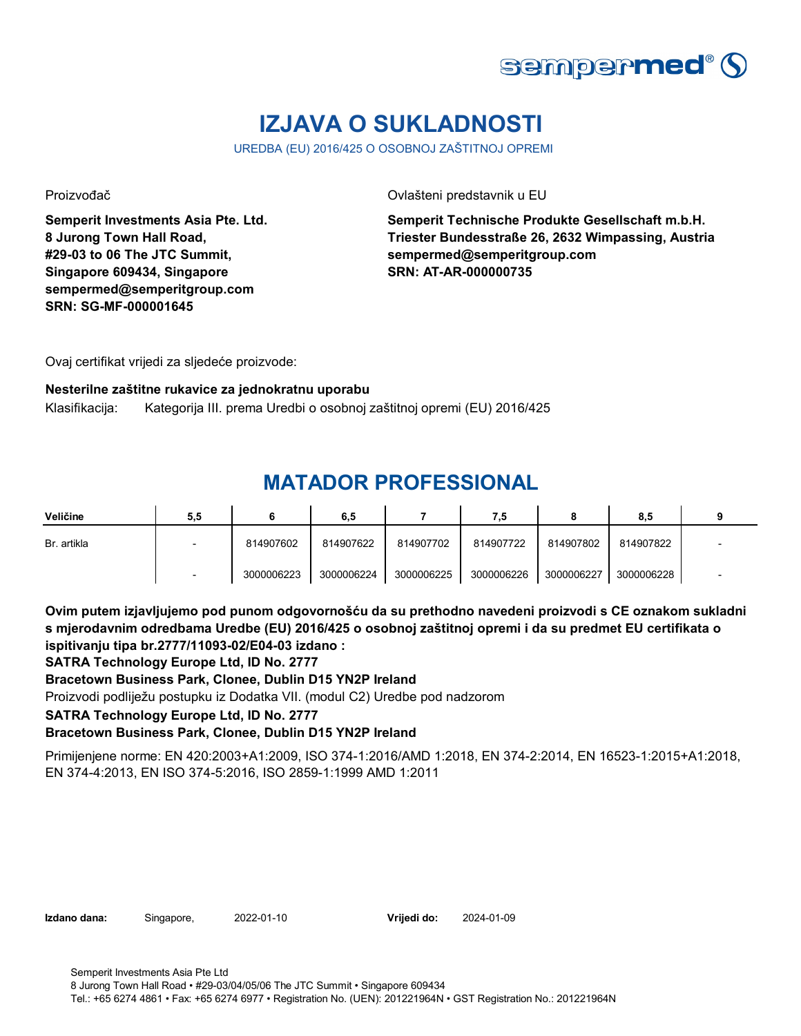![](_page_18_Picture_0.jpeg)

# **IZJAVA O SUKLADNOSTI**

UREDBA (EU) 2016/425 O OSOBNOJ ZAŠTITNOJ OPREMI

**Semperit Investments Asia Pte. Ltd. 8 Jurong Town Hall Road, #29-03 to 06 The JTC Summit, Singapore 609434, Singapore sempermed@semperitgroup.com SRN: SG-MF-000001645**

Proizvođač Ovlašteni predstavnik u EU

**Semperit Technische Produkte Gesellschaft m.b.H. Triester Bundesstraße 26, 2632 Wimpassing, Austria sempermed@semperitgroup.com SRN: AT-AR-000000735**

Ovaj certifikat vrijedi za sljedeće proizvode:

#### **Nesterilne zaštitne rukavice za jednokratnu uporabu**

Klasifikacija: Kategorija III. prema Uredbi o osobnoj zaštitnoj opremi (EU) 2016/425

### **MATADOR PROFESSIONAL**

| Veličine    | 5,5 |            | 6,5        |            | 7.5        |            | 8,5        |  |
|-------------|-----|------------|------------|------------|------------|------------|------------|--|
| Br. artikla |     | 814907602  | 814907622  | 814907702  | 814907722  | 814907802  | 814907822  |  |
|             |     | 3000006223 | 3000006224 | 3000006225 | 3000006226 | 3000006227 | 3000006228 |  |

**Ovim putem izjavljujemo pod punom odgovornošću da su prethodno navedeni proizvodi s CE oznakom sukladni s mjerodavnim odredbama Uredbe (EU) 2016/425 o osobnoj zaštitnoj opremi i da su predmet EU certifikata o ispitivanju tipa br.2777/11093-02/E04-03 izdano :**

**SATRA Technology Europe Ltd, ID No. 2777**

**Bracetown Business Park, Clonee, Dublin D15 YN2P Ireland**

Proizvodi podliježu postupku iz Dodatka VII. (modul C2) Uredbe pod nadzorom

**SATRA Technology Europe Ltd, ID No. 2777**

### **Bracetown Business Park, Clonee, Dublin D15 YN2P Ireland**

Primijenjene norme: EN 420:2003+A1:2009, ISO 374-1:2016/AMD 1:2018, EN 374-2:2014, EN 16523-1:2015+A1:2018, EN 374-4:2013, EN ISO 374-5:2016, ISO 2859-1:1999 AMD 1:2011

**Izdano dana:** Singapore, 2022-01-10 **Vrijedi do:** 2024-01-09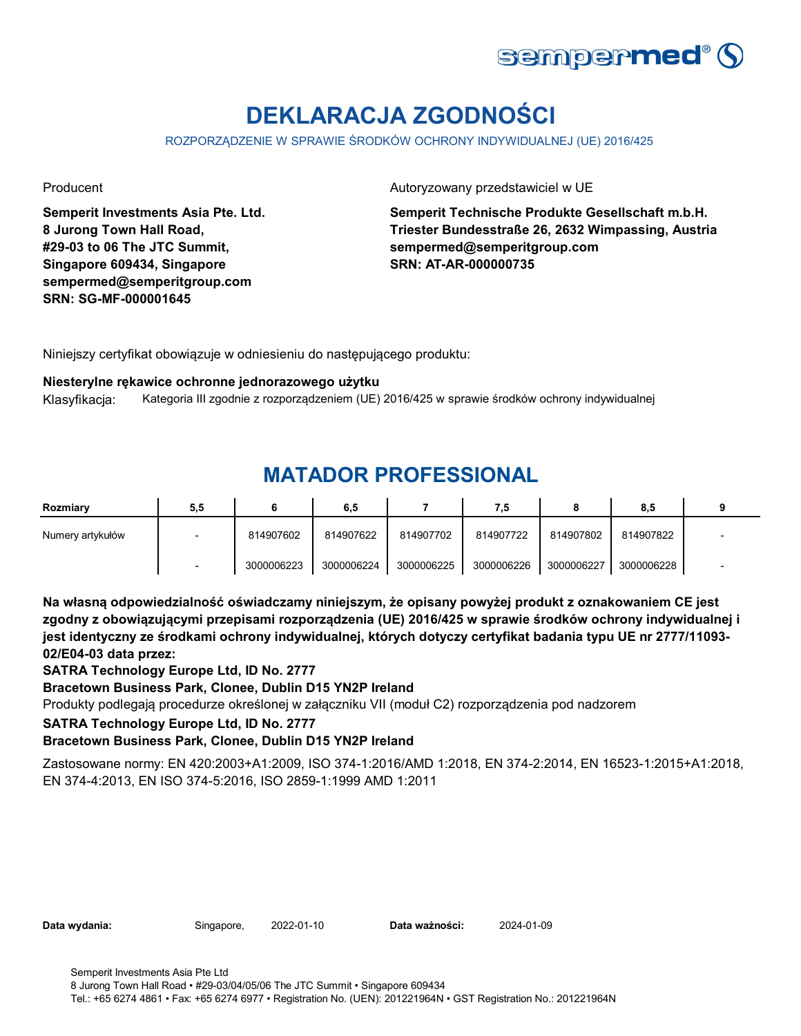![](_page_19_Picture_0.jpeg)

# **DEKLARACJA ZGODNOŚCI**

ROZPORZĄDZENIE W SPRAWIE ŚRODKÓW OCHRONY INDYWIDUALNEJ (UE) 2016/425

**Semperit Investments Asia Pte. Ltd. 8 Jurong Town Hall Road, #29-03 to 06 The JTC Summit, Singapore 609434, Singapore sempermed@semperitgroup.com SRN: SG-MF-000001645**

### Producent **Autoryzowany przedstawiciel w UE**

**Semperit Technische Produkte Gesellschaft m.b.H. Triester Bundesstraße 26, 2632 Wimpassing, Austria sempermed@semperitgroup.com SRN: AT-AR-000000735**

Niniejszy certyfikat obowiązuje w odniesieniu do następującego produktu:

#### **Niesterylne rękawice ochronne jednorazowego użytku**

Klasyfikacja: Kategoria III zgodnie z rozporządzeniem (UE) 2016/425 w sprawie środków ochrony indywidualnej

### **MATADOR PROFESSIONAL**

| Rozmiary         | 5,5 |            | 6,5        |            | 7,5        |            | 8,5        |  |
|------------------|-----|------------|------------|------------|------------|------------|------------|--|
| Numery artykułów |     | 814907602  | 814907622  | 814907702  | 814907722  | 814907802  | 814907822  |  |
|                  |     | 3000006223 | 3000006224 | 3000006225 | 3000006226 | 3000006227 | 3000006228 |  |

**Na własną odpowiedzialność oświadczamy niniejszym, że opisany powyżej produkt z oznakowaniem CE jest zgodny z obowiązującymi przepisami rozporządzenia (UE) 2016/425 w sprawie środków ochrony indywidualnej i jest identyczny ze środkami ochrony indywidualnej, których dotyczy certyfikat badania typu UE nr 2777/11093- 02/E04-03 data przez:**

**SATRA Technology Europe Ltd, ID No. 2777**

**Bracetown Business Park, Clonee, Dublin D15 YN2P Ireland**

Produkty podlegają procedurze określonej w załączniku VII (moduł C2) rozporządzenia pod nadzorem

#### **SATRA Technology Europe Ltd, ID No. 2777**

### **Bracetown Business Park, Clonee, Dublin D15 YN2P Ireland**

Zastosowane normy: EN 420:2003+A1:2009, ISO 374-1:2016/AMD 1:2018, EN 374-2:2014, EN 16523-1:2015+A1:2018, EN 374-4:2013, EN ISO 374-5:2016, ISO 2859-1:1999 AMD 1:2011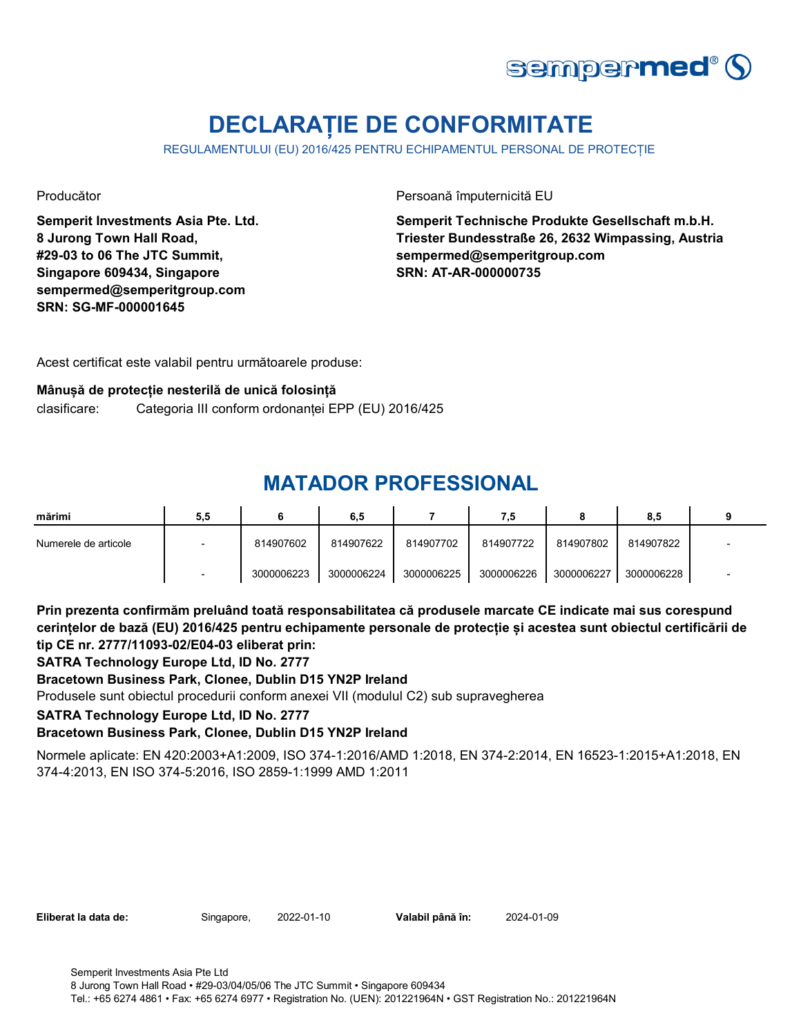![](_page_20_Picture_0.jpeg)

# **DECLARAȚIE DE CONFORMITATE**

REGULAMENTULUI (EU) 2016/425 PENTRU ECHIPAMENTUL PERSONAL DE PROTECȚIE

**Semperit Investments Asia Pte. Ltd. 8 Jurong Town Hall Road, #29-03 to 06 The JTC Summit, Singapore 609434, Singapore sempermed@semperitgroup.com SRN: SG-MF-000001645**

Producător **Producător** Persoană împuternicită EU

**Semperit Technische Produkte Gesellschaft m.b.H. Triester Bundesstraße 26, 2632 Wimpassing, Austria sempermed@semperitgroup.com SRN: AT-AR-000000735**

Acest certificat este valabil pentru următoarele produse:

#### **Mânușă de protecție nesterilă de unică folosință**

clasificare: Categoria III conform ordonanței EPP (EU) 2016/425

## **MATADOR PROFESSIONAL**

| mărimi               | 5,5                      |            | 6,5        |            | 7,5        |            | 8.5        |  |
|----------------------|--------------------------|------------|------------|------------|------------|------------|------------|--|
| Numerele de articole | $\overline{\phantom{0}}$ | 814907602  | 814907622  | 814907702  | 814907722  | 814907802  | 814907822  |  |
|                      |                          | 3000006223 | 3000006224 | 3000006225 | 3000006226 | 3000006227 | 3000006228 |  |

**Prin prezenta confirmăm preluând toată responsabilitatea că produsele marcate CE indicate mai sus corespund cerințelor de bază (EU) 2016/425 pentru echipamente personale de protecție și acestea sunt obiectul certificării de tip CE nr. 2777/11093-02/E04-03 eliberat prin:**

**SATRA Technology Europe Ltd, ID No. 2777**

### **Bracetown Business Park, Clonee, Dublin D15 YN2P Ireland**

Produsele sunt obiectul procedurii conform anexei VII (modulul C2) sub supravegherea

#### **SATRA Technology Europe Ltd, ID No. 2777**

### **Bracetown Business Park, Clonee, Dublin D15 YN2P Ireland**

Normele aplicate: EN 420:2003+A1:2009, ISO 374-1:2016/AMD 1:2018, EN 374-2:2014, EN 16523-1:2015+A1:2018, EN 374-4:2013, EN ISO 374-5:2016, ISO 2859-1:1999 AMD 1:2011

**Eliberat la data de:** Singapore, 2022-01-10

Valabil până în: 2024-01-09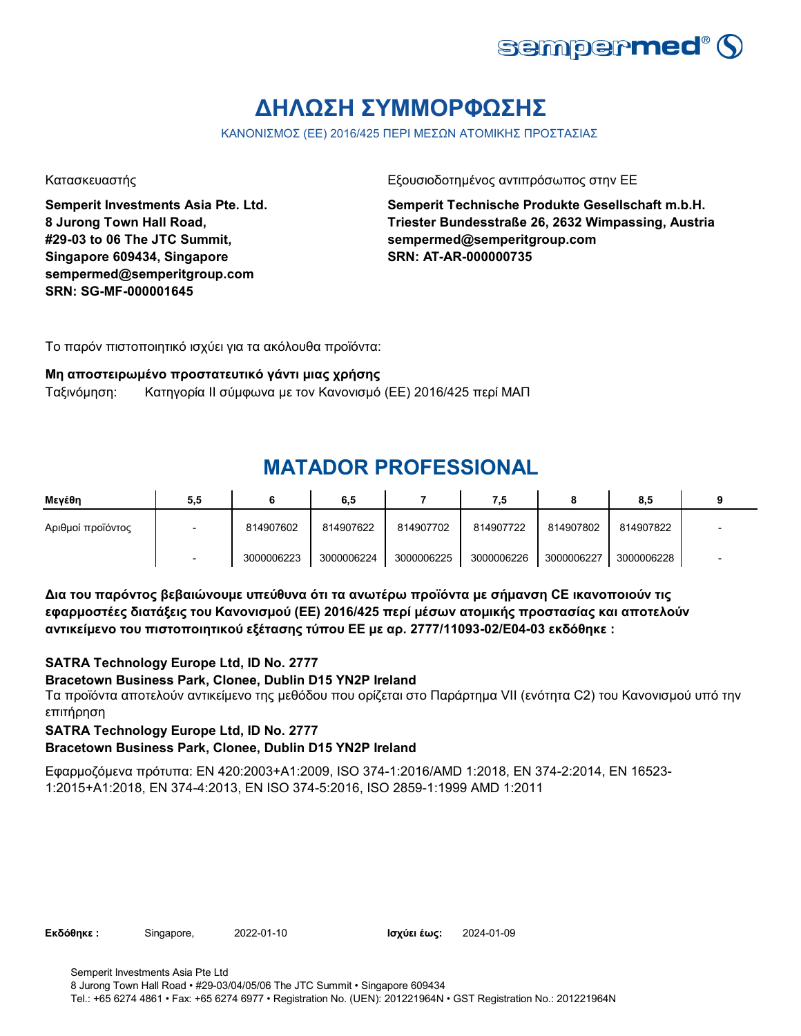![](_page_21_Picture_0.jpeg)

# **ΔΗΛΩΣΗ ΣΥΜΜΟΡΦΩΣΗΣ**

ΚΑΝΟΝΙΣΜΟΣ (ΕΕ) 2016/425 ΠΕΡΙ ΜΕΣΩΝ ΑΤΟΜΙΚΗΣ ΠΡΟΣΤΑΣΙΑΣ

**Semperit Investments Asia Pte. Ltd. 8 Jurong Town Hall Road, #29-03 to 06 The JTC Summit, Singapore 609434, Singapore sempermed@semperitgroup.com SRN: SG-MF-000001645**

Κατασκευαστής Γεριοδοτημένος αντιπρόσωπος στην ΕΕ

**Semperit Technische Produkte Gesellschaft m.b.H. Triester Bundesstraße 26, 2632 Wimpassing, Austria sempermed@semperitgroup.com SRN: AT-AR-000000735**

Το παρόν πιστοποιητικό ισχύει για τα ακόλουθα προϊόντα:

### **Μη αποστειρωμένο προστατευτικό γάντι μιας χρήσης**

Ταξινόμηση: Κατηγορία II σύμφωνα με τον Κανονισμό (ΕΕ) 2016/425 περί ΜΑΠ

## **MATADOR PROFESSIONAL**

| Μεγέθη            | 5,5 |            | 6,5        |            | 7,5        |            | 8.5        |  |
|-------------------|-----|------------|------------|------------|------------|------------|------------|--|
| Αριθμοί προϊόντος |     | 814907602  | 814907622  | 814907702  | 814907722  | 814907802  | 814907822  |  |
|                   |     | 3000006223 | 3000006224 | 3000006225 | 3000006226 | 3000006227 | 3000006228 |  |

**Δια του παρόντος βεβαιώνουμε υπεύθυνα ότι τα ανωτέρω προϊόντα με σήμανση CE ικανοποιούν τις εφαρμοστέες διατάξεις του Κανονισμού (ΕΕ) 2016/425 περί μέσων ατομικής προστασίας και αποτελούν αντικείμενο του πιστοποιητικού εξέτασης τύπου ΕΕ με αρ. 2777/11093-02/E04-03 εκδόθηκε :**

### **SATRA Technology Europe Ltd, ID No. 2777**

### **Bracetown Business Park, Clonee, Dublin D15 YN2P Ireland**

Τα προϊόντα αποτελούν αντικείμενο της μεθόδου που ορίζεται στο Παράρτημα VII (ενότητα C2) του Κανονισμού υπό την επιτήρηση

**SATRA Technology Europe Ltd, ID No. 2777**

### **Bracetown Business Park, Clonee, Dublin D15 YN2P Ireland**

Εφαρμοζόμενα πρότυπα: EN 420:2003+A1:2009, ISO 374-1:2016/AMD 1:2018, EN 374-2:2014, EN 16523- 1:2015+A1:2018, EN 374-4:2013, EN ISO 374-5:2016, ISO 2859-1:1999 AMD 1:2011

**Εκδόθηκε : Singapore, 2022-01-10 2021 Ισχύει έως: 2024-01-09**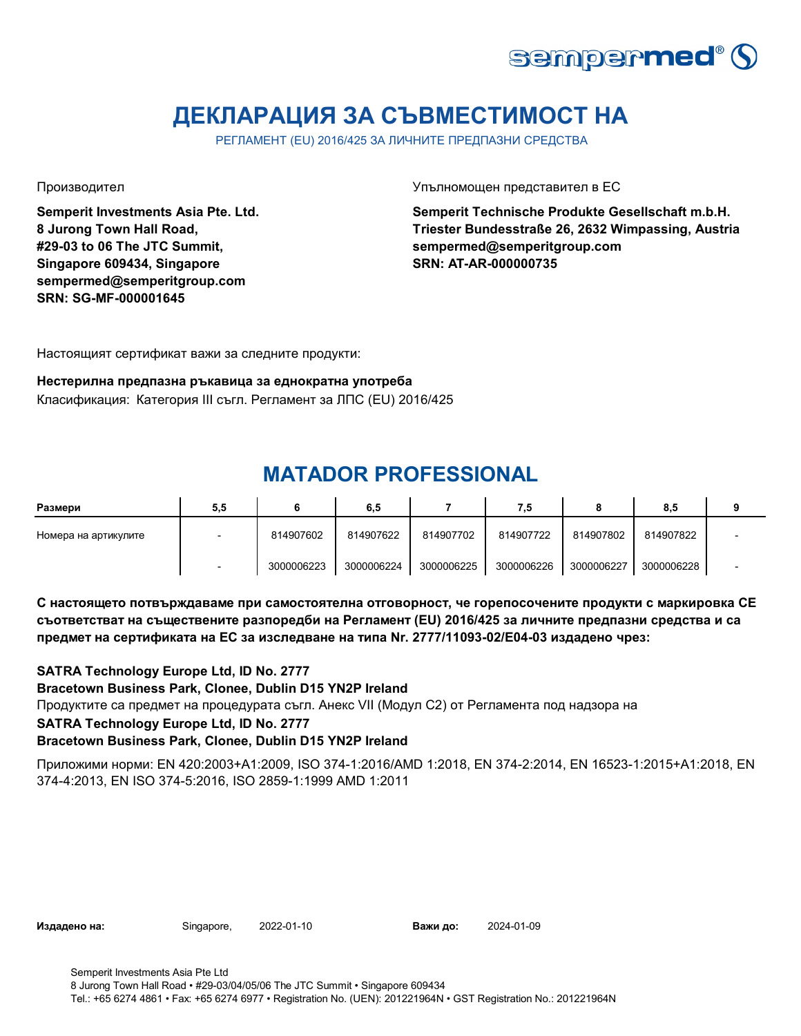![](_page_22_Picture_0.jpeg)

# **ДЕКЛАРАЦИЯ ЗА СЪВМЕСТИМОСТ НА**

РЕГЛАМЕНТ (EU) 2016/425 ЗА ЛИЧНИТЕ ПРЕДПАЗНИ СРЕДСТВА

**Semperit Investments Asia Pte. Ltd. 8 Jurong Town Hall Road, #29-03 to 06 The JTC Summit, Singapore 609434, Singapore sempermed@semperitgroup.com SRN: SG-MF-000001645**

Производител Упълномощен представител в ЕС

**Semperit Technische Produkte Gesellschaft m.b.H. Triester Bundesstraße 26, 2632 Wimpassing, Austria sempermed@semperitgroup.com SRN: AT-AR-000000735**

Настоящият сертификат важи за следните продукти:

#### **Нестерилна предпазна ръкавица за еднократна употреба** Класификация: Категория III съгл. Регламент за ЛПС (EU) 2016/425

## **MATADOR PROFESSIONAL**

| Размери              | 5,5 |            | 6,5        |            | 7,5        |            | 8.5        |  |
|----------------------|-----|------------|------------|------------|------------|------------|------------|--|
| Номера на артикулите |     | 814907602  | 814907622  | 814907702  | 814907722  | 814907802  | 814907822  |  |
|                      |     | 3000006223 | 3000006224 | 3000006225 | 3000006226 | 3000006227 | 3000006228 |  |

**С настоящето потвърждаваме при самостоятелна отговорност, че горепосочените продукти с маркировка СЕ съответстват на съществените разпоредби на Регламент (EU) 2016/425 за личните предпазни средства и са предмет на сертификата на ЕС за изследване на типа Nr. 2777/11093-02/E04-03 издадено чрез:**

Продуктите са предмет на процедурата съгл. Анекс VII (Модул С2) от Регламента под надзора на **SATRA Technology Europe Ltd, ID No. 2777 Bracetown Business Park, Clonee, Dublin D15 YN2P Ireland SATRA Technology Europe Ltd, ID No. 2777 Bracetown Business Park, Clonee, Dublin D15 YN2P Ireland**

Приложими норми: EN 420:2003+A1:2009, ISO 374-1:2016/AMD 1:2018, EN 374-2:2014, EN 16523-1:2015+A1:2018, EN 374-4:2013, EN ISO 374-5:2016, ISO 2859-1:1999 AMD 1:2011

**Издадено на:** Singapore, 2022-01-10